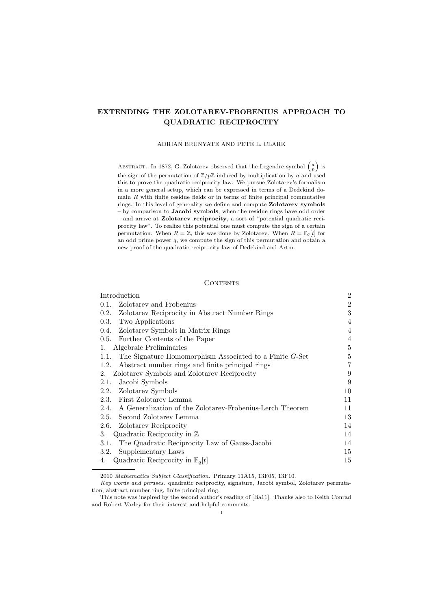# **EXTENDING THE ZOLOTAREV-FROBENIUS APPROACH TO QUADRATIC RECIPROCITY**

#### ADRIAN BRUNYATE AND PETE L. CLARK

ABSTRACT. In 1872, G. Zolotarev observed that the Legendre symbol  $\left(\frac{a}{p}\right)$  is the sign of the permutation of  $\mathbb{Z}/p\mathbb{Z}$  induced by multiplication by *a* and used this to prove the quadratic reciprocity law. We pursue Zolotarev's formalism in a more general setup, which can be expressed in terms of a Dedekind domain *R* with finite residue fields or in terms of finite principal commutative rings. In this level of generality we define and compute **Zolotarev symbols** – by comparison to **Jacobi symbols**, when the residue rings have odd order – and arrive at **Zolotarev reciprocity**, a sort of "potential quadratic reciprocity law". To realize this potential one must compute the sign of a certain permutation. When  $R = \mathbb{Z}$ , this was done by Zolotarev. When  $R = \mathbb{F}_q[t]$  for an odd prime power *q*, we compute the sign of this permutation and obtain a new proof of the quadratic reciprocity law of Dedekind and Artin.

## CONTENTS

| Introduction                                                       | $\overline{2}$ |
|--------------------------------------------------------------------|----------------|
| Zolotarev and Frobenius<br>0.1.                                    | 2              |
| Zolotarev Reciprocity in Abstract Number Rings<br>0.2.             | 3              |
| Two Applications<br>0.3.                                           | 4              |
| 0.4. Zolotarev Symbols in Matrix Rings                             | $\overline{4}$ |
| 0.5. Further Contents of the Paper                                 | $\overline{4}$ |
| Algebraic Preliminaries<br>1.                                      | $\overline{5}$ |
| The Signature Homomorphism Associated to a Finite $G$ -Set<br>1.1. | $\overline{5}$ |
| Abstract number rings and finite principal rings<br>1.2.           | 7              |
| Zolotarev Symbols and Zolotarev Reciprocity<br>2.                  | 9              |
| Jacobi Symbols<br>2.1.                                             | 9              |
| 2.2. Zolotarev Symbols                                             | 10             |
| 2.3. First Zolotarev Lemma                                         | 11             |
| A Generalization of the Zolotarev-Frobenius-Lerch Theorem<br>2.4.  | 11             |
| Second Zolotarev Lemma<br>2.5.                                     | 13             |
| 2.6. Zolotarev Reciprocity                                         | 14             |
| Quadratic Reciprocity in $\mathbb Z$<br>3.                         | 14             |
| The Quadratic Reciprocity Law of Gauss-Jacobi<br>3.1.              | 14             |
| Supplementary Laws<br>3.2.                                         | 15             |
| Quadratic Reciprocity in $\mathbb{F}_q[t]$<br>4.                   | 15             |
|                                                                    |                |

2010 *Mathematics Subject Classification.* Primary 11A15, 13F05, 13F10.

*Key words and phrases.* quadratic reciprocity, signature, Jacobi symbol, Zolotarev permutation, abstract number ring, finite principal ring.

This note was inspired by the second author's reading of [Ba11]. Thanks also to Keith Conrad and Robert Varley for their interest and helpful comments.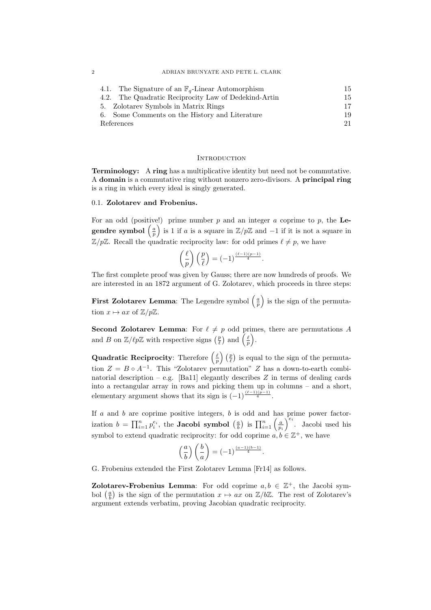|            | 4.1. The Signature of an $\mathbb{F}_q$ -Linear Automorphism | 15. |  |  |
|------------|--------------------------------------------------------------|-----|--|--|
|            | 4.2. The Quadratic Reciprocity Law of Dedekind-Artin         | 15  |  |  |
|            | 5. Zolotarev Symbols in Matrix Rings                         | 17. |  |  |
|            | 6. Some Comments on the History and Literature               | 19  |  |  |
| References |                                                              |     |  |  |

#### **INTRODUCTION**

**Terminology:** A **ring** has a multiplicative identity but need not be commutative. A **domain** is a commutative ring without nonzero zero-divisors. A **principal ring** is a ring in which every ideal is singly generated.

## 0.1. **Zolotarev and Frobenius.**

For an odd (positive!) prime number *p* and an integer *a* coprime to *p*, the **Le**gendre symbol  $\left(\frac{a}{p}\right)$ ) is 1 if *a* is a square in Z*/p*Z and *−*1 if it is not a square in  $\mathbb{Z}/p\mathbb{Z}$ . Recall the quadratic reciprocity law: for odd primes  $\ell \neq p$ , we have

$$
\left(\frac{\ell}{p}\right)\left(\frac{p}{\ell}\right) = (-1)^{\frac{(\ell-1)(p-1)}{4}}.
$$

The first complete proof was given by Gauss; there are now hundreds of proofs. We are interested in an 1872 argument of G. Zolotarev, which proceeds in three steps:

**First Zolotarev Lemma**: The Legendre symbol  $\left(\frac{a}{p}\right)$ ) is the sign of the permutation  $x \mapsto ax$  of  $\mathbb{Z}/p\mathbb{Z}$ .

**Second Zolotarev Lemma:** For  $\ell \neq p$  odd primes, there are permutations *A* and *B* on  $\mathbb{Z}/\ell p\mathbb{Z}$  with respective signs  $\left(\frac{p}{\ell}\right)$  and  $\left(\frac{\ell}{p}\right)$ ) .

**Quadratic Reciprocity**: Therefore  $(\frac{\ell}{p})(\frac{p}{\ell})$  is equal to the sign of the permutation  $Z = B \circ A^{-1}$ . This "Zolotarev permutation" *Z* has a down-to-earth combinatorial description – e.g. [Ba11] elegantly describes  $Z$  in terms of dealing cards into a rectangular array in rows and picking them up in columns – and a short, elementary argument shows that its sign is  $(-1)^{\frac{(\ell-1)(p-1)}{4}}$ .

If *a* and *b* are coprime positive integers, *b* is odd and has prime power factorization  $b = \prod_{i=1}^{n} p_i^{e_i}$ , the **Jacobi symbol**  $\left(\frac{a}{b}\right)$  is  $\prod_{i=1}^{n} \left(\frac{a}{p_i}\right)$  $\int_{-i}^{e_i}$ . Jacobi used his symbol to extend quadratic reciprocity: for odd coprime  $a, b \in \mathbb{Z}^+$ , we have

$$
\left(\frac{a}{b}\right)\left(\frac{b}{a}\right) = (-1)^{\frac{(a-1)(b-1)}{4}}.
$$

G. Frobenius extended the First Zolotarev Lemma [Fr14] as follows.

**Zolotarev-Frobenius Lemma:** For odd coprime  $a, b \in \mathbb{Z}^+$ , the Jacobi symbol  $\left(\frac{a}{b}\right)$  is the sign of the permutation  $x \mapsto ax$  on  $\mathbb{Z}/b\mathbb{Z}$ . The rest of Zolotarev's argument extends verbatim, proving Jacobian quadratic reciprocity.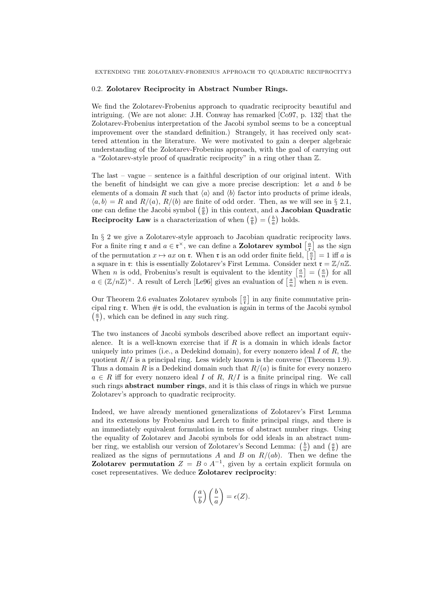#### 0.2. **Zolotarev Reciprocity in Abstract Number Rings.**

We find the Zolotarev-Frobenius approach to quadratic reciprocity beautiful and intriguing. (We are not alone: J.H. Conway has remarked [Co97, p. 132] that the Zolotarev-Frobenius interpretation of the Jacobi symbol seems to be a conceptual improvement over the standard definition.) Strangely, it has received only scattered attention in the literature. We were motivated to gain a deeper algebraic understanding of the Zolotarev-Frobenius approach, with the goal of carrying out a "Zolotarev-style proof of quadratic reciprocity" in a ring other than Z.

The last – vague – sentence is a faithful description of our original intent. With the benefit of hindsight we can give a more precise description: let *a* and *b* be elements of a domain *R* such that  $\langle a \rangle$  and  $\langle b \rangle$  factor into products of prime ideals,  $\langle a, b \rangle = R$  and  $R/(a)$ ,  $R/(b)$  are finite of odd order. Then, as we will see in § 2.1, one can define the Jacobi symbol  $\left(\frac{a}{b}\right)$  in this context, and a **Jacobian Quadratic Reciprocity Law** is a characterization of when  $\left(\frac{a}{b}\right) = \left(\frac{b}{a}\right)$  holds.

In *§* 2 we give a Zolotarev-style approach to Jacobian quadratic reciprocity laws. For a finite ring  $\mathfrak{r}$  and  $a \in \mathfrak{r}^\times$ , we can define a **Zolotarev symbol**  $\left[\frac{a}{\mathfrak{r}}\right]$  as the sign of the permutation  $x \mapsto ax$  on **r**. When **r** is an odd order finite field,  $\left[\frac{a}{r}\right] = 1$  iff *a* is a square in **r**: this is essentially Zolotarev's First Lemma. Consider next  $\mathbf{r} = \mathbb{Z}/n\mathbb{Z}$ . When *n* is odd, Frobenius's result is equivalent to the identity  $\left[\frac{a}{n}\right] = \left(\frac{a}{n}\right)$  for all  $a \in (\mathbb{Z}/n\mathbb{Z})^{\times}$ . A result of Lerch [Le96] gives an evaluation of  $\left[\frac{a}{n}\right]$  when *n* is even.

Our Theorem 2.6 evaluates Zolotarev symbols  $\left[\frac{a}{r}\right]$  in any finite commutative principal ring  $\mathfrak{r}$ . When  $\#\mathfrak{r}$  is odd, the evaluation is again in terms of the Jacobi symbol  $\left(\frac{\bar{a}}{\bar{x}}\right)$ , which can be defined in any such ring.

The two instances of Jacobi symbols described above reflect an important equivalence. It is a well-known exercise that if *R* is a domain in which ideals factor uniquely into primes (i.e., a Dedekind domain), for every nonzero ideal *I* of *R*, the quotient  $R/I$  is a principal ring. Less widely known is the converse (Theorem 1.9). Thus a domain *R* is a Dedekind domain such that  $R/(a)$  is finite for every nonzero  $a \in R$  iff for every nonzero ideal *I* of *R*,  $R/I$  is a finite principal ring. We call such rings **abstract number rings**, and it is this class of rings in which we pursue Zolotarev's approach to quadratic reciprocity.

Indeed, we have already mentioned generalizations of Zolotarev's First Lemma and its extensions by Frobenius and Lerch to finite principal rings, and there is an immediately equivalent formulation in terms of abstract number rings. Using the equality of Zolotarev and Jacobi symbols for odd ideals in an abstract number ring, we establish our version of Zolotarev's Second Lemma:  $\left(\frac{b}{a}\right)$  and  $\left(\frac{a}{b}\right)$  are realized as the signs of permutations *A* and *B* on  $R/(ab)$ . Then we define the **Zolotarev permutation**  $Z = B \circ A^{-1}$ , given by a certain explicit formula on coset representatives. We deduce **Zolotarev reciprocity**:

$$
\left(\frac{a}{b}\right)\left(\frac{b}{a}\right) = \epsilon(Z).
$$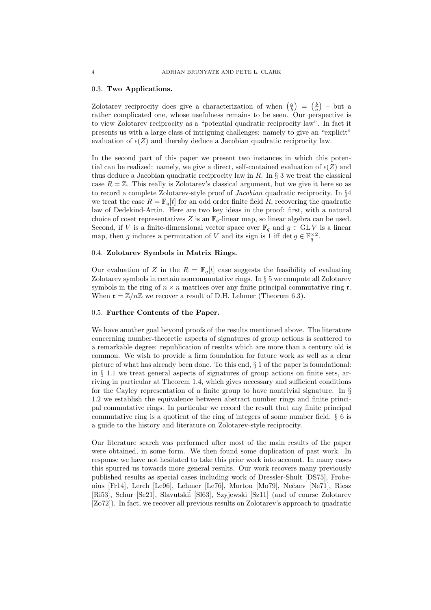### 0.3. **Two Applications.**

Zolotarev reciprocity does give a characterization of when  $\left(\frac{a}{b}\right) = \left(\frac{b}{a}\right)$  – but a rather complicated one, whose usefulness remains to be seen. Our perspective is to view Zolotarev reciprocity as a "potential quadratic reciprocity law". In fact it presents us with a large class of intriguing challenges: namely to give an "explicit" evaluation of  $\epsilon(Z)$  and thereby deduce a Jacobian quadratic reciprocity law.

In the second part of this paper we present two instances in which this potential can be realized: namely, we give a direct, self-contained evaluation of  $\epsilon(Z)$  and thus deduce a Jacobian quadratic reciprocity law in *R*. In *§* 3 we treat the classical case  $R = \mathbb{Z}$ . This really is Zolotarev's classical argument, but we give it here so as to record a complete Zolotarev-style proof of *Jacobian* quadratic reciprocity. In *§*4 we treat the case  $R = \mathbb{F}_q[t]$  for an odd order finite field R, recovering the quadratic law of Dedekind-Artin. Here are two key ideas in the proof: first, with a natural choice of coset representatives  $Z$  is an  $\mathbb{F}_q$ -linear map, so linear algebra can be used. Second, if *V* is a finite-dimensional vector space over  $\mathbb{F}_q$  and  $g \in GLV$  is a linear map, then *g* induces a permutation of *V* and its sign is 1 iff det  $g \in \mathbb{F}_q^{\times 2}$ .

## 0.4. **Zolotarev Symbols in Matrix Rings.**

Our evaluation of *Z* in the  $R = \mathbb{F}_q[t]$  case suggests the feasibility of evaluating Zolotarev symbols in certain noncommutative rings. In *§* 5 we compute all Zolotarev symbols in the ring of  $n \times n$  matrices over any finite principal commutative ring  $\mathfrak{r}$ . When  $\mathfrak{r} = \mathbb{Z}/n\mathbb{Z}$  we recover a result of D.H. Lehmer (Theorem 6.3).

## 0.5. **Further Contents of the Paper.**

We have another goal beyond proofs of the results mentioned above. The literature concerning number-theoretic aspects of signatures of group actions is scattered to a remarkable degree: republication of results which are more than a century old is common. We wish to provide a firm foundation for future work as well as a clear picture of what has already been done. To this end, *§* 1 of the paper is foundational: in *§* 1.1 we treat general aspects of signatures of group actions on finite sets, arriving in particular at Theorem 1.4, which gives necessary and sufficient conditions for the Cayley representation of a finite group to have nontrivial signature. In *§* 1.2 we establish the equivalence between abstract number rings and finite principal commutative rings. In particular we record the result that any finite principal commutative ring is a quotient of the ring of integers of some number field. *§* 6 is a guide to the history and literature on Zolotarev-style reciprocity.

Our literature search was performed after most of the main results of the paper were obtained, in some form. We then found some duplication of past work. In response we have not hesitated to take this prior work into account. In many cases this spurred us towards more general results. Our work recovers many previously published results as special cases including work of Dressler-Shult [DS75], Frobenius [Fr14], Lerch [Le96], Lehmer [Le76], Morton [Mo79], Neˇcaev [Ne71], Riesz [Ri53], Schur [Sc21], Slavutskiĭ [Sl63], Szyjewski [Sz11] (and of course Zolotarev [Zo72]). In fact, we recover all previous results on Zolotarev's approach to quadratic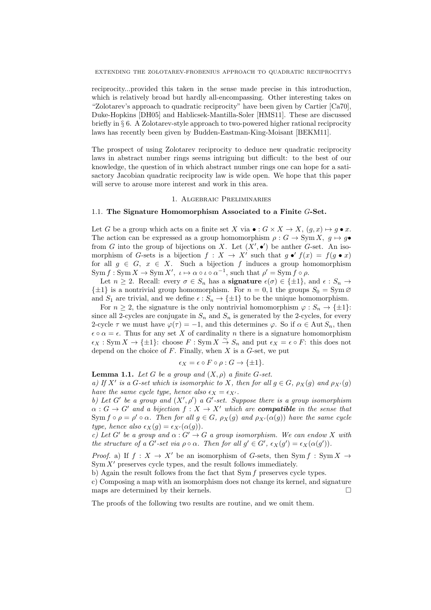EXTENDING THE ZOLOTAREV-FROBENIUS APPROACH TO QUADRATIC RECIPROCITY5

reciprocity...provided this taken in the sense made precise in this introduction, which is relatively broad but hardly all-encompassing. Other interesting takes on "Zolotarev's approach to quadratic reciprocity" have been given by Cartier [Ca70], Duke-Hopkins [DH05] and Hablicsek-Mantilla-Soler [HMS11]. These are discussed briefly in *§* 6. A Zolotarev-style approach to two-powered higher rational reciprocity laws has recently been given by Budden-Eastman-King-Moisant [BEKM11].

The prospect of using Zolotarev reciprocity to deduce new quadratic reciprocity laws in abstract number rings seems intriguing but difficult: to the best of our knowledge, the question of in which abstract number rings one can hope for a satisactory Jacobian quadratic reciprocity law is wide open. We hope that this paper will serve to arouse more interest and work in this area.

#### 1. Algebraic Preliminaries

## 1.1. **The Signature Homomorphism Associated to a Finite** *G***-Set.**

Let *G* be a group which acts on a finite set *X* via  $\bullet$  :  $G \times X \to X$ ,  $(q, x) \mapsto q \bullet x$ . The action can be expressed as a group homomorphism  $\rho: G \to \text{Sym } X$ ,  $q \mapsto q \bullet$ from *G* into the group of bijections on *X*. Let  $(X', \bullet')$  be anther *G*-set. An isomorphism of *G*-sets is a bijection  $f: X \to X'$  such that  $g \bullet' f(x) = f(g \bullet x)$ for all  $g \in G$ ,  $x \in X$ . Such a bijection  $f$  induces a group homomorphism  $\text{Sym } f: \text{Sym } X \to \text{Sym } X'$ ,  $\iota \mapsto \alpha \circ \iota \circ \alpha^{-1}$ , such that  $\rho' = \text{Sym } f \circ \rho$ .

Let  $n \geq 2$ . Recall: every  $\sigma \in S_n$  has a **signature**  $\epsilon(\sigma) \in {\pm 1}$ , and  $\epsilon : S_n \to$  $\{\pm 1\}$  is a nontrivial group homomorphism. For  $n = 0, 1$  the groups  $S_0 = \text{Sym } \varnothing$ and  $S_1$  are trivial, and we define  $\epsilon : S_n \to {\pm 1}$  to be the unique homomorphism.

For  $n \geq 2$ , the signature is the only nontrivial homomorphism  $\varphi : S_n \to {\pm 1}$ : since all 2-cycles are conjugate in  $S_n$  and  $S_n$  is generated by the 2-cycles, for every 2-cycle  $\tau$  we must have  $\varphi(\tau) = -1$ , and this determines  $\varphi$ . So if  $\alpha \in \text{Aut } S_n$ , then  $\epsilon \circ \alpha = \epsilon$ . Thus for any set *X* of cardinality *n* there is a signature homomorphism  $\epsilon_X$  : Sym *X* → { $\pm 1$ }: choose *F* : Sym *X*  $\stackrel{\sim}{\to} S_n$  and put  $\epsilon_X = \epsilon \circ F$ : this does not depend on the choice of *F*. Finally, when *X* is a *G*-set, we put

$$
\epsilon_X = \epsilon \circ F \circ \rho : G \to \{\pm 1\}.
$$

**Lemma 1.1.** *Let*  $G$  *be a group and*  $(X, \rho)$  *a finite*  $G$ *-set.* 

*a)* If  $X'$  is a G-set which is isomorphic to X, then for all  $g \in G$ ,  $\rho_X(g)$  and  $\rho_{X'}(g)$ *have the same cycle type, hence also*  $\epsilon_X = \epsilon_{X'}$ .

*b)* Let G<sup>*'*</sup> be a group and  $(X', \rho')$  a G<sup>*'*</sup>-set. Suppose there is a group isomorphism  $\alpha: G \to G'$  *and a bijection*  $f: X \to X'$  *which are <i>compatible* in the sense that Sym  $f \circ \rho = \rho' \circ \alpha$ . Then for all  $g \in G$ ,  $\rho_X(g)$  and  $\rho_{X'}(\alpha(g))$  have the same cycle *type, hence also*  $\epsilon_X(q) = \epsilon_{X'}(a(q))$ .

*c)* Let G<sup>*'*</sup> be a group and  $\alpha$  :  $G' \rightarrow G$  a group isomorphism. We can endow X with the structure of a G'-set via  $\rho \circ \alpha$ . Then for all  $g' \in G'$ ,  $\epsilon_X(g') = \epsilon_X(\alpha(g'))$ .

*Proof.* a) If  $f: X \to X'$  be an isomorphism of *G*-sets, then Sym  $f: Sym X \to Y'$ Sym  $X'$  preserves cycle types, and the result follows immediately.

b) Again the result follows from the fact that Sym *f* preserves cycle types.

c) Composing a map with an isomorphism does not change its kernel, and signature maps are determined by their kernels.

The proofs of the following two results are routine, and we omit them.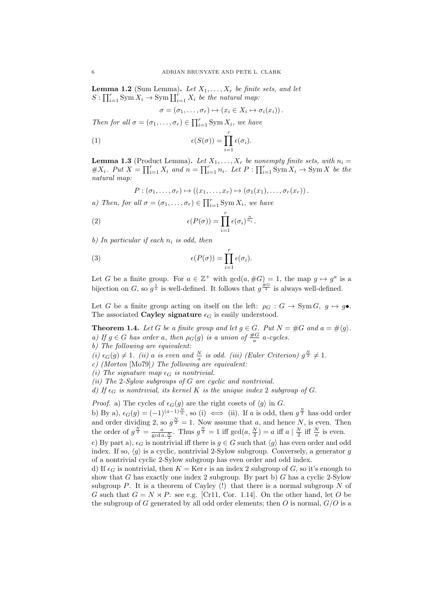**Lemma 1.2** (Sum Lemma). Let  $X_1, \ldots, X_r$  be finite sets, and let  $S: \prod_{i=1}^r \text{Sym } X_i \to \text{Sym }\coprod_{i=1}^r X_i$  *be the natural map*:

$$
\sigma = (\sigma_1, \ldots, \sigma_r) \mapsto (x_i \in X_i \mapsto \sigma_i(x_i)).
$$

*Then for all*  $\sigma = (\sigma_1, \ldots, \sigma_r) \in \prod_{i=1}^r \text{Sym } X_i$ *, we have* 

(1) 
$$
\epsilon(S(\sigma)) = \prod_{i=1}^r \epsilon(\sigma_i).
$$

**Lemma 1.3** (Product Lemma). Let  $X_1, \ldots, X_r$  be nonempty finite sets, with  $n_i =$  $\#X_i$ . Put  $X = \prod_{i=1}^r X_i$  and  $n = \prod_{i=1}^r n_i$ . Let  $P: \prod_{i=1}^r \text{Sym } X_i \to \text{Sym } X$  be the *natural map:*

$$
P:(\sigma_1,\ldots,\sigma_r)\mapsto ((x_1,\ldots,x_r)\mapsto (\sigma_1(x_1),\ldots,\sigma_r(x_r)).
$$

*a)* Then, for all  $\sigma = (\sigma_1, \ldots, \sigma_r) \in \prod_{i=1}^r \text{Sym } X_i$ , we have

(2) 
$$
\epsilon(P(\sigma)) = \prod_{i=1}^r \epsilon(\sigma_i)^{\frac{n}{n_i}}.
$$

*b) In particular if each n<sup>i</sup> is odd, then*

(3) 
$$
\epsilon(P(\sigma)) = \prod_{i=1}^r \epsilon(\sigma_i).
$$

Let *G* be a finite group. For  $a \in \mathbb{Z}^+$  with  $gcd(a, \#G) = 1$ , the map  $g \mapsto g^a$  is a bijection on *G*, so  $g^{\frac{1}{a}}$  is well-defined. It follows that  $g^{\frac{\#G}{2}}$  is always well-defined.

Let *G* be a finite group acting on itself on the left:  $\rho_G : G \to \text{Sym } G$ ,  $g \mapsto g \bullet$ . The associated **Cayley signature**  $\epsilon_G$  is easily understood.

**Theorem 1.4.** *Let G be a finite group and let*  $g \in G$ *. Put*  $N = \#G$  *and*  $a = \# \langle g \rangle$ *. a)* If  $g \in G$  has order *a*, then  $\rho_G(g)$  is a union of  $\frac{\#G}{a}$  a-cycles.

- *b) The following are equivalent:*
- *(i)*  $\epsilon_G(g) \neq 1$ . *(ii) a is even and*  $\frac{N}{a}$  *is odd. (iii) (Euler Criterion)*  $g^{\frac{N}{2}} \neq 1$ .
- *c) (Morton* [Mo79]*) The following are equivalent:*
- *(i)* The signature map  $\epsilon_G$  is nontrivial.
- *(ii) The* 2*-Sylow subgroups of G are cyclic and nontrivial.*

*d)* If  $\epsilon_G$  is nontrivial, its kernel K is the unique index 2 subgroup of G.

*Proof.* a) The cycles of  $\epsilon_G(g)$  are the right cosets of  $\langle g \rangle$  in *G*.

b) By a),  $\epsilon_G(g) = (-1)^{(a-1)\frac{N}{a}}$ , so (i)  $\iff$  (ii). If *a* is odd, then  $g^{\frac{N}{2}}$  has odd order and order dividing 2, so  $g^{\frac{N}{2}} = 1$ . Now assume that a, and hence N, is even. Then the order of  $g^{\frac{N}{2}} = \frac{a}{\gcd(a, \frac{N}{2})}$ . Thus  $g^{\frac{N}{2}} = 1$  iff  $\gcd(a, \frac{N}{2}) = a$  iff  $a \mid \frac{N}{2}$  iff  $\frac{N}{a}$  is even.

c) By part a),  $\epsilon_G$  is nontrivial iff there is  $q \in G$  such that  $\langle q \rangle$  has even order and odd index. If so,  $\langle q \rangle$  is a cyclic, nontrivial 2-Sylow subgroup. Conversely, a generator *q* of a nontrivial cyclic 2-Sylow subgroup has even order and odd index.

d) If  $\epsilon_G$  is nontrivial, then  $K = \text{Ker } \epsilon$  is an index 2 subgroup of G, so it's enough to show that *G* has exactly one index 2 subgroup. By part b) *G* has a cyclic 2-Sylow subgroup  $P$ . It is a theorem of Cayley  $(!)$  that there is a normal subgroup  $N$  of *G* such that  $G = N \rtimes P$ : see e.g. [Cr11, Cor. 1.14]. On the other hand, let *O* be the subgroup of *G* generated by all odd order elements; then *O* is normal, *G/O* is a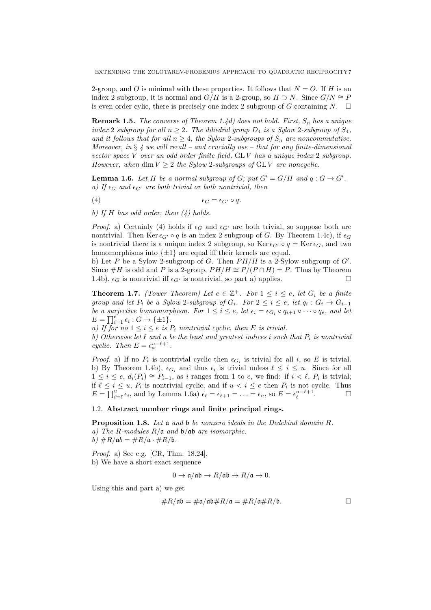2-group, and *O* is minimal with these properties. It follows that  $N = O$ . If *H* is an index 2 subgroup, it is normal and  $G/H$  is a 2-group, so  $H \supset N$ . Since  $G/N \cong P$ is even order cylic, there is precisely one index 2 subgroup of *G* containing  $N$ .  $\square$ 

**Remark 1.5.** *The converse of Theorem 1.4d) does not hold. First, S<sup>n</sup> has a unique index* 2 *subgroup for all*  $n \geq 2$ *. The dihedral group*  $D_4$  *is a Sylow* 2*-subgroup of*  $S_4$ *, and it follows that for all*  $n \geq 4$ *, the Sylow 2-subgroups of*  $S_n$  *are noncommutative. Moreover, in § 4 we will recall – and crucially use – that for any finite-dimensional vector space V over an odd order finite field,* GL *V has a unique index* 2 *subgroup. However, when* dim  $V > 2$  *the Sylow 2-subgroups of GLV are noncyclic.* 

**Lemma 1.6.** Let H be a normal subgroup of  $G$ ; put  $G' = G/H$  and  $q: G \rightarrow G'$ . *a)* If  $\epsilon_G$  and  $\epsilon_{G'}$  are both trivial or both nontrivial, then

$$
\epsilon_G = \epsilon_{G'} \circ q.
$$

*b) If H has odd order, then (4) holds.*

*Proof.* a) Certainly (4) holds if  $\epsilon_G$  and  $\epsilon_{G'}$  are both trivial, so suppose both are nontrivial. Then Ker  $\epsilon_{G'} \circ q$  is an index 2 subgroup of *G*. By Theorem 1.4c), if  $\epsilon_G$ is nontrivial there is a unique index 2 subgroup, so Ker  $\epsilon_{G'} \circ q = \text{Ker } \epsilon_G$ , and two homomorphisms into *{±*1*}* are equal iff their kernels are equal.

b) Let *P* be a Sylow 2-subgroup of *G*. Then *PH/H* is a 2-Sylow subgroup of *G′* . Since  $#H$  is odd and *P* is a 2-group,  $PH/H \cong P/(P \cap H) = P$ . Thus by Theorem 1.4b),  $\epsilon_G$  is nontrivial iff  $\epsilon_{G'}$  is nontrivial, so part a) applies.

**Theorem 1.7.** *(Tower Theorem) Let*  $e \in \mathbb{Z}^+$ *. For*  $1 \leq i \leq e$ *, let*  $G_i$  *be a finite* group and let  $P_i$  be a Sylow 2-subgroup of  $G_i$ . For  $2 \leq i \leq e$ , let  $q_i : G_i \rightarrow G_{i-1}$ *be a surjective homomorphism. For*  $1 \leq i \leq e$ , let  $\epsilon_i = \epsilon_{G_i} \circ q_{i+1} \circ \cdots \circ q_e$ , and let  $E = \prod_{i=1}^{e} \epsilon_i : G \to \{\pm 1\}.$ 

*a)* If for no  $1 \leq i \leq e$  is  $P_i$  nontrivial cyclic, then E is trivial.

*b)* Otherwise let  $\ell$  and  $u$  be the least and greatest indices i such that  $P_i$  is nontrivial *cyclic.* Then  $E = \epsilon_a^{u-\ell+1}$ .

*Proof.* a) If no  $P_i$  is nontrivial cyclic then  $\epsilon_{G_i}$  is trivial for all *i*, so *E* is trivial. b) By Theorem 1.4b),  $\epsilon_{G_i}$  and thus  $\epsilon_i$  is trivial unless  $\ell \leq i \leq u$ . Since for all  $1 \leq i \leq e$ ,  $d_i(P_i) \cong P_{i-1}$ , as *i* ranges from 1 to *e*, we find: if  $i < \ell$ ,  $P_i$  is trivial; if  $\ell \leq i \leq u$ ,  $P_i$  is nontrivial cyclic; and if  $u < i \leq e$  then  $P_i$  is not cyclic. Thus  $E = \prod_{i=\ell}^{u} \epsilon_i$ , and by Lemma 1.6a)  $\epsilon_{\ell} = \epsilon_{\ell+1} = \ldots = \epsilon_u$ , so  $E = \epsilon_{\ell}^{u-\ell+1}$ . — П

## 1.2. **Abstract number rings and finite principal rings.**

**Proposition 1.8.** *Let* a *and* b *be nonzero ideals in the Dedekind domain R. a) The R-modules R/*a *and* b*/*ab *are isomorphic.*  $b)$   $\#R/\mathfrak{a}b = \#R/\mathfrak{a} \cdot \#R/\mathfrak{b}.$ 

*Proof.* a) See e.g. [CR, Thm. 18.24]. b) We have a short exact sequence

$$
0 \to \mathfrak{a}/\mathfrak{a}\mathfrak{b} \to R/\mathfrak{a}\mathfrak{b} \to R/\mathfrak{a} \to 0.
$$

Using this and part a) we get

$$
\#R/\mathfrak{a}\mathfrak{b} = \#\mathfrak{a}/\mathfrak{a}\mathfrak{b} \#R/\mathfrak{a} = \#R/\mathfrak{a} \#R/\mathfrak{b}.
$$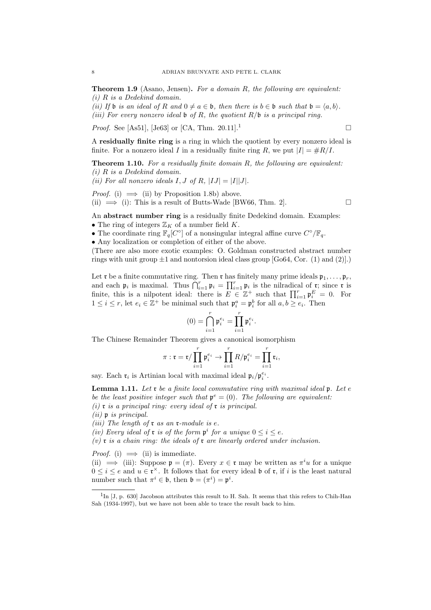**Theorem 1.9** (Asano, Jensen)**.** *For a domain R, the following are equivalent: (i) R is a Dedekind domain.*

*(ii)* If **b** is an ideal of R and  $0 \neq a \in \mathfrak{b}$ , then there is  $b \in \mathfrak{b}$  such that  $\mathfrak{b} = \langle a, b \rangle$ . *(iii) For every nonzero ideal* b *of R, the quotient R/*b *is a principal ring.*

*Proof.* See [As51], [Je63] or [CA, Thm. 20.11].<sup>1</sup>

A **residually finite ring** is a ring in which the quotient by every nonzero ideal is finite. For a nonzero ideal *I* in a residually finite ring *R*, we put  $|I| = \#R/I$ .

**Theorem 1.10.** *For a residually finite domain R, the following are equivalent: (i) R is a Dedekind domain.*

*(ii)* For all nonzero ideals  $I, J$  of  $R, |IJ| = |I||J|$ .

*Proof.* (i)  $\implies$  (ii) by Proposition 1.8b) above. (ii)  $\implies$  (i): This is a result of Butts-Wade [BW66, Thm. 2].

An **abstract number ring** is a residually finite Dedekind domain. Examples:

- The ring of integers  $\mathbb{Z}_K$  of a number field  $K$ .
- *•* The coordinate ring F*q*[*C ◦* ] of a nonsingular integral affine curve *C ◦/*F*q*.

*•* Any localization or completion of either of the above.

(There are also more exotic examples: O. Goldman constructed abstract number rings with unit group  $\pm 1$  and nontorsion ideal class group  $[Go64, Cor. (1)$  and  $(2)].$ 

Let **r** be a finite commutative ring. Then **r** has finitely many prime ideals  $\mathfrak{p}_1, \ldots, \mathfrak{p}_r$ , and each  $\mathfrak{p}_i$  is maximal. Thus  $\bigcap_{i=1}^r \mathfrak{p}_i = \prod_{i=1}^r \mathfrak{p}_i$  is the nilradical of r; since r is finite, this is a nilpotent ideal: there is  $E \in \mathbb{Z}^+$  such that  $\prod_{i=1}^r \mathfrak{p}_i^E = 0$ . For  $1 \leq i \leq r$ , let  $e_i \in \mathbb{Z}^+$  be minimal such that  $\mathfrak{p}_i^a = \mathfrak{p}_i^b$  for all  $a, b \geq e_i$ . Then

$$
(0)=\bigcap_{i=1}^r \mathfrak{p}_i^{e_i}=\prod_{i=1}^r \mathfrak{p}_i^{e_i}.
$$

The Chinese Remainder Theorem gives a canonical isomorphism

$$
\pi: \mathfrak{r} = \mathfrak{r}/\prod_{i=1}^r \mathfrak{p}_i^{e_i} \to \prod_{i=1}^r R/\mathfrak{p}_i^{e_i} = \prod_{i=1}^r \mathfrak{r}_i,
$$

say. Each  $\mathfrak{r}_i$  is Artinian local with maximal ideal  $\mathfrak{p}_i/\mathfrak{p}_i^{e_i}$ .

**Lemma 1.11.** *Let* r *be a finite local commutative ring with maximal ideal* p*. Let e be the least positive integer such that*  $\mathbf{p}^e = (0)$ *. The following are equivalent: (i)* r *is a principal ring: every ideal of* r *is principal.*

*(ii)* p *is principal.*

*(iii) The length of* r *as an* r*-module is e.*

*(iv) Every ideal of r is of the form*  $p^i$  *for a unique*  $0 \leq i \leq e$ *.* 

*(v)* r *is a chain ring: the ideals of* r *are linearly ordered under inclusion.*

*Proof.* (i)  $\implies$  (ii) is immediate.

(ii)  $\implies$  (iii): Suppose  $\mathfrak{p} = (\pi)$ . Every  $x \in \mathfrak{r}$  may be written as  $\pi^i u$  for a unique  $0 \leq i \leq e$  and  $u \in \mathfrak{r}^\times$ . It follows that for every ideal b of  $\mathfrak{r}$ , if *i* is the least natural number such that  $\pi^i \in \mathfrak{b}$ , then  $\mathfrak{b} = (\pi^i) = \mathfrak{p}^i$ .

 ${}^{1}$ In [J, p. 630] Jacobson attributes this result to H. Sah. It seems that this refers to Chih-Han Sah (1934-1997), but we have not been able to trace the result back to him.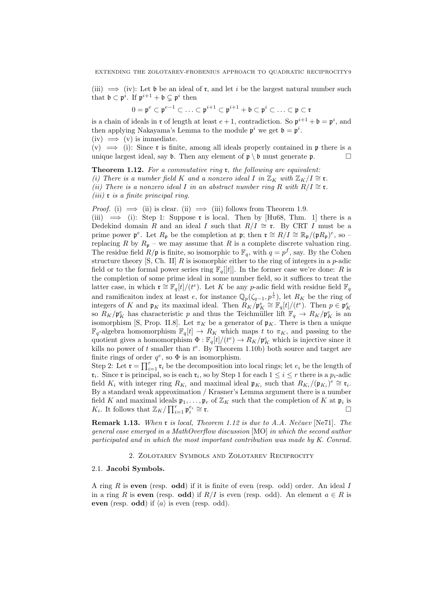(iii)  $\implies$  (iv): Let b be an ideal of **r**, and let *i* be the largest natural number such that  $\mathfrak{b} \subset \mathfrak{p}^i$ . If  $\mathfrak{p}^{i+1} + \mathfrak{b} \subsetneq \mathfrak{p}^i$  then

$$
0=\mathfrak{p}^e\subset\mathfrak{p}^{e-1}\subset\ldots\subset\mathfrak{p}^{i+1}\subset\mathfrak{p}^{i+1}+\mathfrak{b}\subset\mathfrak{p}^i\subset\ldots\subset\mathfrak{p}\subset\mathfrak{r}
$$

is a chain of ideals in  $\mathfrak{r}$  of length at least  $e+1$ , contradiction. So  $\mathfrak{p}^{i+1} + \mathfrak{b} = \mathfrak{p}^i$ , and then applying Nakayama's Lemma to the module  $\mathfrak{p}^i$  we get  $\mathfrak{b} = \mathfrak{p}^i$ .  $(iv) \implies (v)$  is immediate.

 $(v) \implies$  (i): Since **r** is finite, among all ideals properly contained in **p** there is a unique largest ideal, say  $\mathfrak b$ . Then any element of  $\mathfrak p \setminus \mathfrak b$  must generate  $\mathfrak p$ .

**Theorem 1.12.** *For a commutative ring* r*, the following are equivalent: (i)* There is a number field *K* and a nonzero ideal *I* in  $\mathbb{Z}_K$  with  $\mathbb{Z}_K/I \cong \mathfrak{r}$ . *(ii)* There is a nonzero ideal *I* in an abstract number ring *R* with  $R/I \cong \mathfrak{r}$ . *(iii)* r *is a finite principal ring.*

*Proof.* (i)  $\implies$  (ii) is clear. (ii)  $\implies$  (iii) follows from Theorem 1.9.

(iii)  $\implies$  (i): Step 1: Suppose r is local. Then by [Hu68, Thm. 1] there is a Dedekind domain *R* and an ideal *I* such that  $R/I \cong \mathfrak{r}$ . By CRT *I* must be a prime power  $\mathfrak{p}^e$ . Let  $R_{\mathfrak{p}}$  be the completion at  $\mathfrak{p}$ ; then  $\mathfrak{r} \cong R/I \cong \mathbb{R}_{\mathfrak{p}}/(\mathfrak{p}R_{\mathfrak{p}})^e$ , so – replacing *R* by  $R_p$  – we may assume that *R* is a complete discrete valuation ring. The residue field  $R/\mathfrak{p}$  is finite, so isomorphic to  $\mathbb{F}_q$ , with  $q = p^f$ , say. By the Cohen structure theory [S, Ch. II] *R* is isomorphic either to the ring of integers in a *p*-adic field or to the formal power series ring  $\mathbb{F}_q[[t]]$ . In the former case we're done: R is the completion of some prime ideal in some number field, so it suffices to treat the latter case, in which  $\mathfrak{r} \cong \mathbb{F}_q[t]/(t^e)$ . Let *K* be any *p*-adic field with residue field  $\mathbb{F}_q$ and ramificaiton index at least *e*, for instance  $\mathbb{Q}_p(\zeta_{q-1}, p^{\frac{1}{e}})$ , let  $R_K$  be the ring of integers of *K* and  $\mathfrak{p}_K$  its maximal ideal. Then  $R_K/\mathfrak{p}_K^e \cong \mathbb{F}_q[t]/(t^e)$ . Then  $p \in \mathfrak{p}_K^e$ so  $R_K/\mathfrak{p}_K^e$  has characteristic *p* and thus the Teichmüller lift  $\mathbb{F}_q \to R_K/\mathfrak{p}_K^e$  is an isomorphism [S, Prop. II.8]. Let  $\pi_K$  be a generator of  $\mathfrak{p}_K$ . There is then a unique  $\mathbb{F}_q$ -algebra homomorphism  $\mathbb{F}_q[t] \to R_K$  which maps *t* to  $\pi_K$ , and passing to the quotient gives a homomorphism  $\Phi$  :  $\mathbb{F}_q[t]/(t^e) \to R_K/\mathfrak{p}_K^e$  which is injective since it kills no power of  $t$  smaller than  $t^e$ . By Theorem 1.10b) both source and target are finite rings of order  $q^e$ , so  $\Phi$  is an isomorphism.

Step 2: Let  $\mathbf{r} = \prod_{i=1}^r \mathbf{r}_i$  be the decomposition into local rings; let  $e_i$  be the length of  $\mathfrak{r}_i$ . Since  $\mathfrak{r}$  is principal, so is each  $\mathfrak{r}_i$ , so by Step 1 for each  $1 \leq i \leq r$  there is a  $p_i$ -adic field  $K_i$  with integer ring  $R_{K_i}$  and maximal ideal  $\mathfrak{p}_{K_i}$  such that  $R_{K_i}/(\mathfrak{p}_{K_i})^e \cong \mathfrak{r}_i$ . By a standard weak approximation / Krasner's Lemma argument there is a number field *K* and maximal ideals  $\mathfrak{p}_1, \ldots, \mathfrak{p}_r$  of  $\mathbb{Z}_K$  such that the completion of *K* at  $\mathfrak{p}_i$  is *K*<sup>*i*</sup>. It follows that  $\mathbb{Z}_K / \prod_{i=1}^r \mathfrak{p}_i^{e_i}$ *∼*= r.

**Remark 1.13.** *When* r *is local, Theorem 1.12 is due to A.A. Neˇcaev* [Ne71]*. The general case emerged in a MathOverflow discussion* [MO] *in which the second author participated and in which the most important contribution was made by K. Conrad.*

2. Zolotarev Symbols and Zolotarev Reciprocity

#### 2.1. **Jacobi Symbols.**

A ring *R* is **even** (resp. **odd**) if it is finite of even (resp. odd) order. An ideal *I* in a ring *R* is **even** (resp. **odd**) if  $R/I$  is even (resp. odd). An element  $a \in R$  is **even** (resp. **odd**) if  $\langle a \rangle$  is even (resp. odd).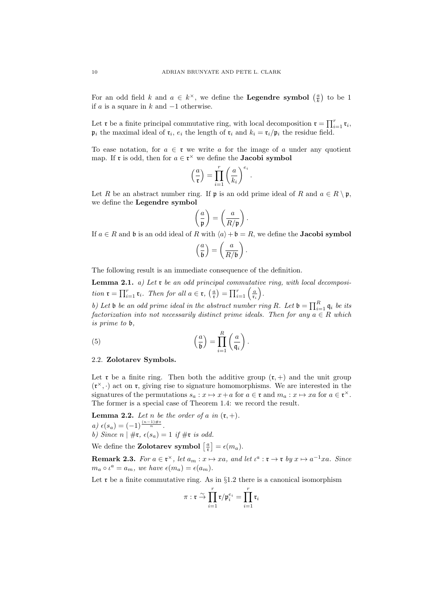For an odd field *k* and  $a \in k^{\times}$ , we define the **Legendre symbol**  $\left(\frac{a}{k}\right)$  to be 1 if *a* is a square in *k* and *−*1 otherwise.

Let **r** be a finite principal commutative ring, with local decomposition  $\mathbf{r} = \prod_{i=1}^{r} \mathbf{r}_i$ ,  $\mathfrak{p}_i$  the maximal ideal of  $\mathfrak{r}_i$ ,  $e_i$  the length of  $\mathfrak{r}_i$  and  $k_i = \mathfrak{r}_i/\mathfrak{p}_i$  the residue field.

To ease notation, for  $a \in \mathfrak{r}$  we write a for the image of a under any quotient map. If **r** is odd, then for  $a \in \mathfrak{r}^\times$  we define the **Jacobi symbol** 

$$
\left(\frac{a}{\mathfrak{r}}\right) = \prod_{i=1}^r \left(\frac{a}{k_i}\right)^{e_i}.
$$

Let *R* be an abstract number ring. If **p** is an odd prime ideal of *R* and  $a \in R \setminus \mathfrak{p}$ , we define the **Legendre symbol**

$$
\left(\frac{a}{\mathfrak{p}}\right) = \left(\frac{a}{R/\mathfrak{p}}\right).
$$

If  $a \in R$  and  $b$  is an odd ideal of  $R$  with  $\langle a \rangle + b = R$ , we define the **Jacobi symbol** 

$$
\left(\frac{a}{\mathfrak{b}}\right) = \left(\frac{a}{R/\mathfrak{b}}\right).
$$

The following result is an immediate consequence of the definition.

**Lemma 2.1.** *a) Let* r *be an odd principal commutative ring, with local decomposition*  $\mathbf{r} = \prod_{i=1}^r \mathbf{r}_i$ *. Then for all*  $a \in \mathbf{r}$ *,*  $\left(\frac{a}{\mathbf{r}}\right) = \prod_{i=1}^r \left(\frac{a}{\mathbf{r}_i}\right)$ ) *.*

*b)* Let **b** *be an odd prime ideal in the abstract number ring R.* Let  $\mathbf{b} = \prod_{i=1}^{R} \mathbf{q}_i$  *be its factorization into not necessarily distinct prime ideals. Then for any*  $a \in R$  *which is prime to* b*,*

(5) 
$$
\left(\frac{a}{b}\right) = \prod_{i=1}^{R} \left(\frac{a}{q_i}\right).
$$

## 2.2. **Zolotarev Symbols.**

Let  $\mathfrak r$  be a finite ring. Then both the additive group  $(\mathfrak r,+)$  and the unit group  $(\mathfrak{r}^{\times}, \cdot)$  act on  $\mathfrak{r}$ , giving rise to signature homomorphisms. We are interested in the signatures of the permutations  $s_a : x \mapsto x + a$  for  $a \in \mathfrak{r}$  and  $m_a : x \mapsto xa$  for  $a \in \mathfrak{r}^\times$ . The former is a special case of Theorem 1.4: we record the result.

**Lemma 2.2.** *Let n be the order of a in*  $(\mathfrak{r}, +)$ *.*  $a) \epsilon(s_a) = (-1)^{\frac{(n-1)\#r}{n}}.$ *b)* Since  $n | \#r$ ,  $\epsilon(s_a) = 1$  if  $\#r$  is odd.

We define the **Zolotarev symbol**  $\left[\frac{a}{\tau}\right] = \epsilon(m_a)$ .

**Remark 2.3.** For  $a \in \mathfrak{r}^{\times}$ , let  $a_m : x \mapsto xa$ , and let  $\iota^a : \mathfrak{r} \to \mathfrak{r}$  by  $x \mapsto a^{-1}xa$ . Since  $m_a \circ \iota^a = a_m$ , we have  $\epsilon(m_a) = \epsilon(a_m)$ .

Let **r** be a finite commutative ring. As in §1.2 there is a canonical isomorphism

$$
\pi: \mathfrak{r} \stackrel{\sim}{\to} \prod_{i=1}^r \mathfrak{r}/\mathfrak{p}_i^{e_i} = \prod_{i=1}^r \mathfrak{r}_i
$$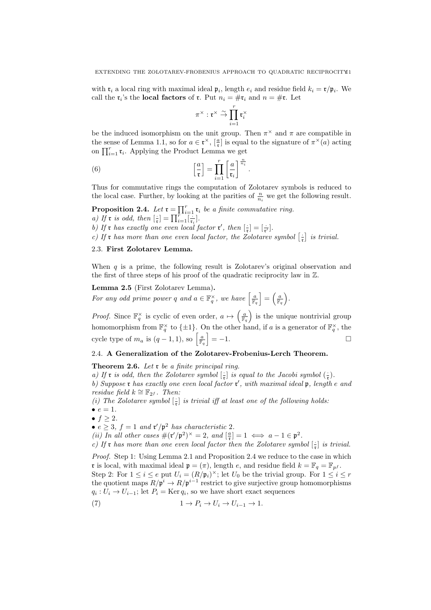with  $\mathbf{r}_i$  a local ring with maximal ideal  $\mathbf{p}_i$ , length  $e_i$  and residue field  $k_i = \mathbf{r}/\mathbf{p}_i$ . We call the  $\mathfrak{r}_i$ 's the **local factors** of  $\mathfrak{r}$ . Put  $n_i = \#\mathfrak{r}_i$  and  $n = \#\mathfrak{r}$ . Let

$$
\pi^\times : \mathfrak{r}^\times \stackrel{\sim}{\rightarrow} \prod_{i=1}^r \mathfrak{r}_i^\times
$$

be the induced isomorphism on the unit group. Then  $\pi^{\times}$  and  $\pi$  are compatible in the sense of Lemma 1.1, so for  $a \in \mathfrak{r}^\times$ ,  $\left[\frac{a}{\mathfrak{r}}\right]$  is equal to the signature of  $\pi^\times(a)$  acting on  $\prod_{i=1}^r \mathfrak{r}_i$ . Applying the Product Lemma we get

(6) 
$$
\left[\frac{a}{\mathfrak{r}}\right] = \prod_{i=1}^r \left[\frac{a}{\mathfrak{r}_i}\right]^{\frac{n}{n_i}}.
$$

Thus for commutative rings the computation of Zolotarev symbols is reduced to the local case. Further, by looking at the parities of  $\frac{n}{n_i}$  we get the following result.

**Proposition 2.4.** *Let*  $\mathbf{r} = \prod_{i=1}^r \mathbf{r}_i$  *be a finite commutative ring.* 

*a)* If **r** *is odd, then*  $\left[\frac{1}{r}\right] = \prod_{i=1}^{r} \left[\frac{1}{r_i}\right]$ .

b) If **r** has exactly one even local factor **r'**, then  $\left[\frac{1}{r}\right] = \left[\frac{1}{r'}\right]$ .

*c)* If **r** has more than one even local factor, the Zolotarev symbol  $\left[\frac{1}{r}\right]$  is trivial.

## 2.3. **First Zolotarev Lemma.**

When *q* is a prime, the following result is Zolotarev's original observation and the first of three steps of his proof of the quadratic reciprocity law in Z.

**Lemma 2.5** (First Zolotarev Lemma)**.**

*For any odd prime power q and*  $a \in \mathbb{F}_q^{\times}$ , we have  $\left[\frac{a}{\mathbb{F}_q}\right]$  $\mathbb{F}_q$  $=\left(\frac{a}{\mathbb{R}}\right)$  $\mathbb{F}_q$ ) *.*

*Proof.* Since  $\mathbb{F}_q^{\times}$  is cyclic of even order,  $a \mapsto \left(\frac{a}{\mathbb{F}_q}\right)$  $\mathbb{F}_q$ ) is the unique nontrivial group homomorphism from  $\mathbb{F}_q^{\times}$  to  $\{\pm 1\}$ . On the other hand, if *a* is a generator of  $\mathbb{F}_q^{\times}$ , the cycle type of  $m_a$  is  $(q-1,1)$ , so  $\left[\frac{a}{\mathbb{F}_a}\right]$  $\mathbb{F}_q$ ] = *−*1.

# 2.4. **A Generalization of the Zolotarev-Frobenius-Lerch Theorem.**

**Theorem 2.6.** *Let* r *be a finite principal ring.*

*a)* If **r** *is odd, then the Zolotarev symbol*  $\left[\frac{1}{r}\right]$  *is equal to the Jacobi symbol*  $\left(\frac{1}{r}\right)$ *. b) Suppose* r *has exactly one even local factor* r *′ , with maximal ideal* p*, length e and residue field*  $k \cong \mathbb{F}_{2^f}$ *. Then:* 

*(i)* The Zolotarev symbol  $\left[\frac{1}{r}\right]$  is trivial iff at least one of the following holds:

•  $e = 1$ *.* 

•  $f \geq 2$ *.* 

•  $e \geq 3$ ,  $f = 1$  *and*  $\mathfrak{r}'/\mathfrak{p}^2$  *has characteristic* 2*.* 

*(ii)* In all other cases  $\#(\mathfrak{r}'/\mathfrak{p}^2)^\times = 2$ , and  $\left[\frac{\mathfrak{a}}{\mathfrak{r}}\right] = 1 \iff \mathfrak{a} - 1 \in \mathfrak{p}^2$ .

*c)* If *r* has more than one even local factor then the Zolotarev symbol  $\left[\frac{1}{r}\right]$  is trivial.

*Proof.* Step 1: Using Lemma 2.1 and Proposition 2.4 we reduce to the case in which r is local, with maximal ideal  $\mathbf{p} = (\pi)$ , length *e*, and residue field  $k = \mathbb{F}_q = \mathbb{F}_{p^f}$ . Step 2: For  $1 \leq i \leq e$  put  $U_i = (R/\mathfrak{p}_i)^{\times}$ ; let  $U_0$  be the trivial group. For  $1 \leq i \leq r$ the quotient maps  $R/\mathfrak{p}^i \to R/\mathfrak{p}^{i-1}$  restrict to give surjective group homomorphisms  $q_i: U_i \to U_{i-1}$ ; let  $P_i = \text{Ker } q_i$ , so we have short exact sequences

(7) 
$$
1 \to P_i \to U_i \to U_{i-1} \to 1.
$$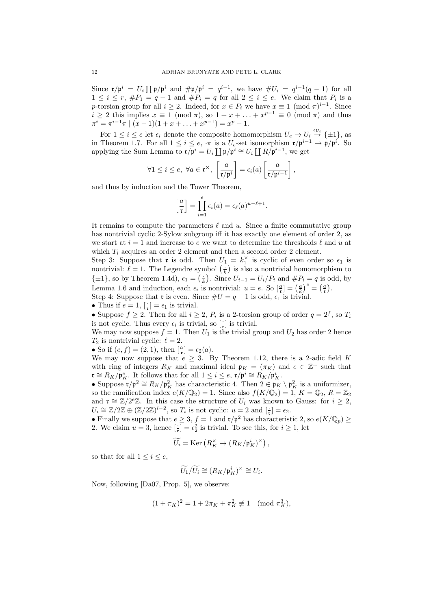Since  $\mathfrak{r}/\mathfrak{p}^i = U_i \coprod \mathfrak{p}/\mathfrak{p}^i$  and  $\#\mathfrak{p}/\mathfrak{p}^i = q^{i-1}$ , we have  $\#U_i = q^{i-1}(q-1)$  for all 1 ≤ *i* ≤ *r*,  $#P_1 = q - 1$  and  $#P_i = q$  for all  $2 \leq i \leq e$ . We claim that  $P_i$  is a *p*-torsion group for all  $i \geq 2$ . Indeed, for  $x \in P_i$  we have  $x \equiv 1 \pmod{\pi}^{i-1}$ . Since  $i \geq 2$  this implies  $x \equiv 1 \pmod{\pi}$ , so  $1 + x + \ldots + x^{p-1} \equiv 0 \pmod{\pi}$  and thus  $\pi^{i} = \pi^{i-1}\pi \mid (x-1)(1+x+\ldots+x^{p-1}) = x^{p} - 1.$ 

For  $1 \leq i \leq e$  let  $\epsilon_i$  denote the composite homomorphism  $U_e \to U_i \stackrel{\epsilon_{U_i}}{\to} {\pm 1}$ , as in Theorem 1.7. For all  $1 \leq i \leq e$ ,  $\cdot \pi$  is a  $U_e$ -set isomorphism  $\mathfrak{r}/\mathfrak{p}^{i-1} \to \mathfrak{p}/\mathfrak{p}^i$ . So applying the Sum Lemma to  $\mathbf{r}/\mathbf{p}^i = U_i \coprod \mathbf{p}/\mathbf{p}^i \cong U_i \coprod R/\mathbf{p}^{i-1}$ , we get

$$
\forall 1 \leq i \leq e, \ \forall a \in \mathfrak{r}^{\times}, \ \left[\frac{a}{\mathfrak{r}/\mathfrak{p}^{i}}\right] = \epsilon_{i}(a) \left[\frac{a}{\mathfrak{r}/\mathfrak{p}^{i-1}}\right],
$$

and thus by induction and the Tower Theorem,

$$
\left[\frac{a}{\mathfrak{r}}\right] = \prod_{i=1}^{e} \epsilon_i(a) = \epsilon_{\ell}(a)^{u-\ell+1}
$$

*.*

It remains to compute the parameters *ℓ* and *u*. Since a finite commutative group has nontrivial cyclic 2-Sylow subgroup iff it has exactly one element of order 2, as we start at  $i = 1$  and increase to  $e$  we want to determine the thresholds  $\ell$  and  $u$  at which  $T_i$  acquires an order 2 element and then a second order 2 element.

Step 3: Suppose that **r** is odd. Then  $U_1 = k_1^{\times}$  is cyclic of even order so  $\epsilon_1$  is nontrivial:  $\ell = 1$ . The Legendre symbol  $\left(\frac{1}{k}\right)$  is also a nontrivial homomorphism to  $\{\pm 1\}$ , so by Theorem 1.4d),  $\epsilon_1 = \left(\frac{1}{k}\right)$ . Since  $U_{i-1} = U_i/P_i$  and  $\#P_i = q$  is odd, by Lemma 1.6 and induction, each  $\epsilon_i$  is nontrivial:  $u = e$ . So  $\left[\frac{a}{\mathfrak{k}}\right] = \left(\frac{a}{k}\right)^e = \left(\frac{a}{\mathfrak{k}}\right)$ .

Step 4: Suppose that **r** is even. Since  $\#U = q - 1$  is odd,  $\epsilon_1$  is trivial.

• Thus if  $e = 1$ ,  $\left[\frac{1}{r}\right] = \epsilon_1$  is trivial.

• Suppose  $f \geq 2$ . Then for all  $i \geq 2$ ,  $P_i$  is a 2-torsion group of order  $q = 2^f$ , so  $T_i$ is not cyclic. Thus every  $\epsilon_i$  is trivial, so  $\left[\frac{1}{r}\right]$  is trivial.

We may now suppose  $f = 1$ . Then  $U_1$  is the trivial group and  $U_2$  has order 2 hence  $T_2$  is nontrivial cyclic:  $\ell = 2$ .

• So if  $(e, f) = (2, 1)$ , then  $\left[\frac{a}{r}\right] = \epsilon_2(a)$ .

We may now suppose that  $e \geq 3$ . By Theorem 1.12, there is a 2-adic field *K* with ring of integers  $R_K$  and maximal ideal  $\mathfrak{p}_K = (\pi_K)$  and  $e \in \mathbb{Z}^+$  such that  $\mathbf{r} \cong R_K / \mathbf{p}_K^e$ . It follows that for all  $1 \leq i \leq e$ ,  $\mathbf{r}/\mathbf{p}^i \cong R_K / \mathbf{p}_K^i$ .

• Suppose  $\mathfrak{r}/\mathfrak{p}^2 \cong R_K/\mathfrak{p}_K^2$  has characteristic 4. Then  $2 \in \mathfrak{p}_K \setminus \mathfrak{p}_K^2$  is a uniformizer, so the ramification index  $e(K/\mathbb{Q}_2) = 1$ . Since also  $f(K/\mathbb{Q}_2) = 1$ ,  $K = \mathbb{Q}_2$ ,  $R = \mathbb{Z}_2$ and  $\mathfrak{r} \cong \mathbb{Z}/2^e\mathbb{Z}$ . In this case the structure of  $U_i$  was known to Gauss: for  $i \geq 2$ ,  $U_i \cong \mathbb{Z}/2\mathbb{Z} \oplus (\mathbb{Z}/2\mathbb{Z})^{i-2}$ , so  $T_i$  is not cyclic:  $u = 2$  and  $\left[\frac{1}{r}\right] = \epsilon_2$ .

• Finally we suppose that  $e \geq 3$ ,  $f = 1$  and  $\mathfrak{r}/\mathfrak{p}^2$  has characteristic 2, so  $e(K/\mathbb{Q}_p) \geq$ 2. We claim  $u = 3$ , hence  $\left[\frac{1}{r}\right] = \epsilon_2^2$  is trivial. To see this, for  $i \ge 1$ , let

$$
\widetilde{U_i} = \text{Ker}\left(R_K^\times \to \left(R_K/\mathfrak{p}_K^i\right)^\times\right),\,
$$

so that for all  $1 \leq i \leq e$ ,

$$
\widetilde{U_1}/\widetilde{U_i}\cong (R_K/\mathfrak{p}_K^i)^{\times}\cong U_i.
$$

Now, following [Da07, Prop. 5], we observe:

$$
(1 + \pi_K)^2 = 1 + 2\pi_K + \pi_K^2 \not\equiv 1 \pmod{\pi_K^3},
$$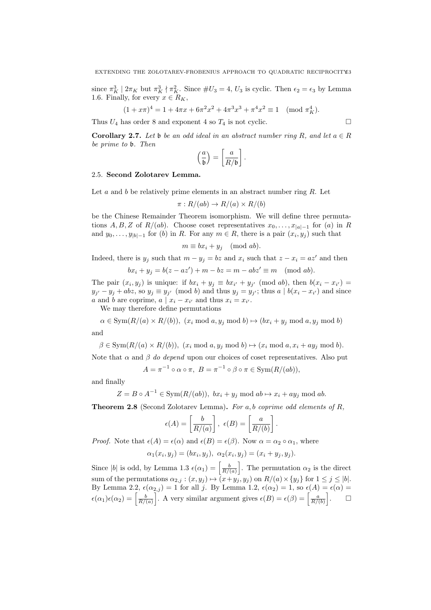since  $\pi_K^3$  |  $2\pi_K$  but  $\pi_K^3$  |  $\pi_K^2$ . Since  $\#U_3 = 4$ ,  $U_3$  is cyclic. Then  $\epsilon_2 = \epsilon_3$  by Lemma 1.6. Finally, for every  $x \in R_K$ ,

$$
(1+x\pi)^4 = 1 + 4\pi x + 6\pi^2 x^2 + 4\pi^3 x^3 + \pi^4 x^2 \equiv 1 \pmod{\pi_K^4}.
$$

Thus  $U_4$  has order 8 and exponent 4 so  $T_4$  is not cyclic.

**Corollary 2.7.** Let b be an odd ideal in an abstract number ring R, and let  $a \in R$ *be prime to* b*. Then*

$$
\left(\frac{a}{\mathfrak{b}}\right)=\left[\frac{a}{R/\mathfrak{b}}\right].
$$

## 2.5. **Second Zolotarev Lemma.**

Let *a* and *b* be relatively prime elements in an abstract number ring *R*. Let

$$
\pi: R/(ab) \to R/(a) \times R/(b)
$$

be the Chinese Remainder Theorem isomorphism. We will define three permutations *A, B, Z* of *R/(ab)*. Choose coset representatives  $x_0, \ldots, x_{|a|-1}$  for (*a)* in *R* and  $y_0, \ldots, y_{|b|-1}$  for (*b*) in *R*. For any  $m \in R$ , there is a pair  $(x_i, y_j)$  such that

$$
m \equiv bx_i + y_j \pmod{ab}.
$$

Indeed, there is  $y_j$  such that  $m - y_j = bz$  and  $x_i$  such that  $z - x_i = az'$  and then  $bx_i + y_j = b(z - az') + m - bz = m - abz' \equiv m \pmod{ab}$ .

The pair  $(x_i, y_j)$  is unique: if  $bx_i + y_j \equiv bx_{i'} + y_{j'} \pmod{ab}$ , then  $b(x_i - x_{i'}) =$  $y_{j'} - y_j + abz$ , so  $y_j \equiv y_{j'} \pmod{b}$  and thus  $y_j = y_{j'}$ ; thus  $a \mid b(x_i - x_{i'})$  and since *a* and *b* are coprime,  $a \mid x_i - x_{i'}$  and thus  $x_i = x_{i'}$ .

We may therefore define permutations

 $\alpha \in \text{Sym}(R/(a) \times R/(b)),$  (*x<sub>i</sub>* mod *a, y<sub>j</sub>* mod *b*)  $\mapsto$  (*bx<sub>i</sub>* + *y<sub>j</sub>* mod *a, y<sub>j</sub>* mod *b*) and

 $\beta \in \text{Sym}(R/(a) \times R/(b)),$   $(x_i \mod a, y_j \mod b) \mapsto (x_i \mod a, x_i + ay_j \mod b).$ Note that  $\alpha$  and  $\beta$  *do depend* upon our choices of coset representatives. Also put

$$
A = \pi^{-1} \circ \alpha \circ \pi, \ B = \pi^{-1} \circ \beta \circ \pi \in \text{Sym}(R/(ab)),
$$

and finally

$$
Z = B \circ A^{-1} \in \text{Sym}(R/(ab)), \ bx_i + y_j \ \text{mod} \ ab \mapsto x_i + ay_j \ \text{mod} \ ab.
$$

**Theorem 2.8** (Second Zolotarev Lemma)**.** *For a, b coprime odd elements of R,*

$$
\epsilon(A) = \left[\frac{b}{R/(a)}\right], \epsilon(B) = \left[\frac{a}{R/(b)}\right].
$$

*Proof.* Note that  $\epsilon(A) = \epsilon(\alpha)$  and  $\epsilon(B) = \epsilon(\beta)$ . Now  $\alpha = \alpha_2 \circ \alpha_1$ , where

$$
\alpha_1(x_i, y_j) = (bx_i, y_j), \ \alpha_2(x_i, y_j) = (x_i + y_j, y_j).
$$

Since  $|b|$  is odd, by Lemma 1.3  $\epsilon(\alpha_1) = \left[\frac{b}{R/(\alpha)}\right]$ . The permutation  $\alpha_2$  is the direct sum of the permutations  $\alpha_{2,j} : (x, y_j) \mapsto (x + y_j, y_j)$  on  $R/(a) \times \{y_j\}$  for  $1 \leq j \leq |b|$ . By Lemma 2.2,  $\epsilon(\alpha_{2,j}) = 1$  for all *j*. By Lemma 1.2,  $\epsilon(\alpha_2) = 1$ , so  $\epsilon(A) = \epsilon(\alpha)$  $\epsilon(\alpha_1)\epsilon(\alpha_2) = \left[\frac{b}{R/(a)}\right]$ . A very similar argument gives  $\epsilon(B) = \epsilon(\beta) = \left[\frac{a}{R/(b)}\right]$ ] .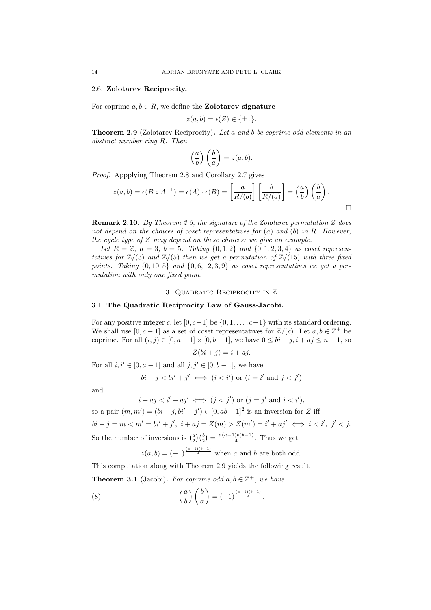### 2.6. **Zolotarev Reciprocity.**

For coprime  $a, b \in R$ , we define the **Zolotarev signature** 

$$
z(a,b) = \epsilon(Z) \in \{\pm 1\}.
$$

**Theorem 2.9** (Zolotarev Reciprocity)**.** *Let a and b be coprime odd elements in an abstract number ring R. Then*

$$
\left(\frac{a}{b}\right)\left(\frac{b}{a}\right) = z(a,b).
$$

*Proof.* Appplying Theorem 2.8 and Corollary 2.7 gives

$$
z(a,b) = \epsilon(B \circ A^{-1}) = \epsilon(A) \cdot \epsilon(B) = \left[\frac{a}{R/(b)}\right] \left[\frac{b}{R/(a)}\right] = \left(\frac{a}{b}\right) \left(\frac{b}{a}\right).
$$

**Remark 2.10.** *By Theorem 2.9, the signature of the Zolotarev permutation Z does not depend on the choices of coset representatives for* (*a*) *and* (*b*) *in R. However, the cycle type of Z may depend on these choices: we give an example.*

*Let*  $R = \mathbb{Z}$ ,  $a = 3$ ,  $b = 5$ *. Taking*  $\{0, 1, 2\}$  *and*  $\{0, 1, 2, 3, 4\}$  *as coset representatives for*  $\mathbb{Z}/(3)$  *and*  $\mathbb{Z}/(5)$  *then we get a permutation of*  $\mathbb{Z}/(15)$  *with three fixed points. Taking*  $\{0, 10, 5\}$  *and*  $\{0, 6, 12, 3, 9\}$  *as coset representatives we get a permutation with only one fixed point.*

### 3. Quadratic Reciprocity in Z

## 3.1. **The Quadratic Reciprocity Law of Gauss-Jacobi.**

For any positive integer *c*, let [0*, c−*1] be *{*0*,* 1*, . . . , c−*1*}* with its standard ordering. We shall use  $[0, c-1]$  as a set of coset representatives for  $\mathbb{Z}/(c)$ . Let  $a, b \in \mathbb{Z}^+$  be coprime. For all  $(i, j) \in [0, a − 1] \times [0, b − 1]$ , we have  $0 \leq bi + j, i + aj \leq n - 1$ , so

$$
Z(bi + j) = i + aj.
$$

For all  $i, i' \in [0, a - 1]$  and all  $j, j' \in [0, b - 1]$ , we have:

$$
bi + j < bi' + j' \iff (i < i') \text{ or } (i = i' \text{ and } j < j')
$$

and

$$
i+aj < i'+aj' \iff (j < j')
$$
 or  $(j = j'$  and  $i < i')$ ,

so a pair  $(m, m') = (bi + j, bi' + j') \in [0, ab - 1]^2$  is an inversion for *Z* iff  $bi + j = m < m' = bi' + j', i + aj = Z(m) > Z(m') = i' + aj' \iff i < i', j' < j.$ So the number of inversions is  $\binom{a}{2}\binom{b}{2} = \frac{a(a-1)b(b-1)}{4}$ . Thus we get

$$
z(a, b) = (-1)^{\frac{(a-1)(b-1)}{4}}
$$
 when a and b are both odd.

This computation along with Theorem 2.9 yields the following result.

**Theorem 3.1** (Jacobi). For coprime odd  $a, b \in \mathbb{Z}^+$ , we have

(8)  $\left(\frac{a}{b}\right)$ ) ( *b a*  $\setminus$  $= (-1)^{\frac{(a-1)(b-1)}{4}}$ .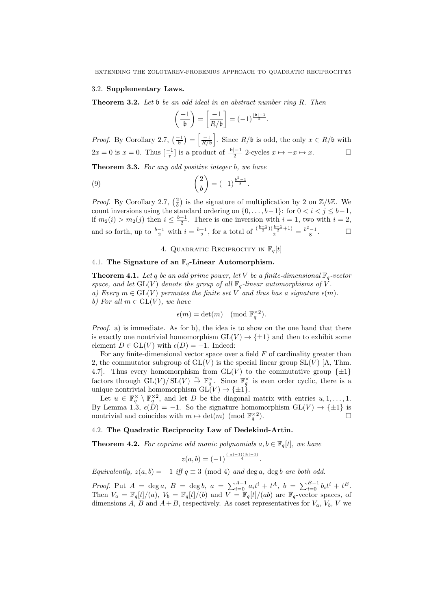#### 3.2. **Supplementary Laws.**

**Theorem 3.2.** *Let* b *be an odd ideal in an abstract number ring R. Then*

$$
\left(\frac{-1}{\mathfrak{b}}\right) = \left[\frac{-1}{R/\mathfrak{b}}\right] = (-1)^{\frac{\mathfrak{b}}{2}}.
$$

*Proof.* By Corollary 2.7,  $\left(\frac{-1}{b}\right) = \left[\frac{-1}{R/b}\right]$ ]. Since  $R/$ **b** is odd, the only  $x \in R/$ **b** with 2*x* = 0 is *x* = 0. Thus  $\left[\frac{-1}{r}\right]$  is a product of  $\frac{|b|-1}{2}$  2-cycles *x* → −*x* → *x*.

**Theorem 3.3.** *For any odd positive integer b, we have*

(9) 
$$
\left(\frac{2}{b}\right) = (-1)^{\frac{b^2-1}{8}}
$$
.

*Proof.* By Corollary 2.7,  $(\frac{2}{b})$  is the signature of multiplication by 2 on  $\mathbb{Z}/b\mathbb{Z}$ . We count inversions using the standard ordering on  $\{0, \ldots, b-1\}$ : for  $0 < i < j \le b-1$ , if  $m_2(i) > m_2(j)$  then  $i \leq \frac{b-1}{2}$ . There is one inversion with  $i = 1$ , two with  $i = 2$ , and so forth, up to  $\frac{b-1}{2}$  with  $i = \frac{b-1}{2}$ , for a total of  $\frac{\binom{b-1}{2}(\frac{b-1}{2}+1)}{2} = \frac{b^2-1}{8}$  $\Box$ 

## 4. QUADRATIC RECIPROCITY IN  $\mathbb{F}_q[t]$

### 4.1. **The Signature of an** F*q***-Linear Automorphism.**

**Theorem 4.1.** Let q be an odd prime power, let V be a finite-dimensional  $\mathbb{F}_q$ -vector *space, and let*  $GL(V)$  *denote the group of all*  $\mathbb{F}_q$ *-linear automorphisms of V*. *a)* Every  $m \in GL(V)$  permutes the finite set V and thus has a signature  $\epsilon(m)$ . *b)* For all  $m \in GL(V)$ , we have

$$
\epsilon(m) = \det(m) \pmod{\mathbb{F}_q^{\times 2}}.
$$

*Proof.* a) is immediate. As for b), the idea is to show on the one hand that there is exactly one nontrivial homomorphism  $GL(V) \to {\pm 1}$  and then to exhibit some element  $D \in GL(V)$  with  $\epsilon(D) = -1$ . Indeed:

For any finite-dimensional vector space over a field *F* of cardinality greater than 2, the commutator subgroup of  $GL(V)$  is the special linear group  $SL(V)$  [A, Thm. 4.7]. Thus every homomorphism from  $GL(V)$  to the commutative group  $\{\pm 1\}$ factors through  $GL(V)/SL(V) \stackrel{\sim}{\to} \mathbb{F}_q^{\times}$ . Since  $\mathbb{F}_q^{\times}$  is even order cyclic, there is a unique nontrivial homomorphism  $GL(V) \to {\pm 1}$ .

Let  $u \in \mathbb{F}_q^{\times} \setminus \mathbb{F}_q^{\times 2}$ , and let *D* be the diagonal matrix with entries  $u, 1, \ldots, 1$ . By Lemma 1.3,  $\epsilon(\hat{D}) = -1$ . So the signature homomorphism  $GL(V) \to \{\pm 1\}$  is nontrivial and coincides with  $m \mapsto \det(m) \pmod{\mathbb{F}_q^{\times 2}}$ ).  $\qquad \qquad \Box$ 

## 4.2. **The Quadratic Reciprocity Law of Dedekind-Artin.**

**Theorem 4.2.** For coprime odd monic polynomials  $a, b \in \mathbb{F}_q[t]$ , we have

$$
z(a,b)=(-1)^{\frac{(|a|-1)(|b|-1)}{4}}.
$$

*Equivalently,*  $z(a, b) = -1$  *iff*  $q \equiv 3 \pmod{4}$  *and* deg *a*, deg *b are both odd.* 

*Proof.* Put  $A = \deg a$ ,  $B = \deg b$ ,  $a = \sum_{i=0}^{A-1} a_i t^i + t^A$ ,  $b = \sum_{i=0}^{B-1} b_i t^i + t^B$ . Then  $V_a = \mathbb{F}_q[t]/(a)$ ,  $V_b = \mathbb{F}_q[t]/(b)$  and  $V = \mathbb{F}_q[t]/(ab)$  are  $\mathbb{F}_q$ -vector spaces, of dimensions *A*, *B* and  $A + B$ , respectively. As coset representatives for  $V_a$ ,  $V_b$ ,  $V$  we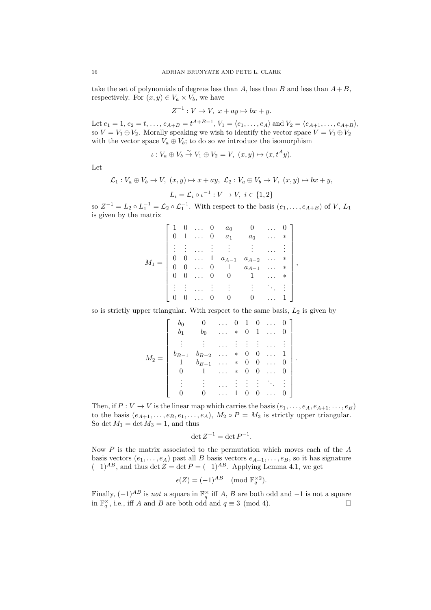take the set of polynomials of degrees less than *A*, less than *B* and less than  $A + B$ , respectively. For  $(x, y) \in V_a \times V_b$ , we have

$$
Z^{-1}: V \to V, \ x + ay \mapsto bx + y.
$$

Let  $e_1 = 1, e_2 = t, \ldots, e_{A+B} = t^{A+B-1}, V_1 = \langle e_1, \ldots, e_A \rangle$  and  $V_2 = \langle e_{A+1}, \ldots, e_{A+B} \rangle$ , so  $V = V_1 \oplus V_2$ . Morally speaking we wish to identify the vector space  $V = V_1 \oplus V_2$ with the vector space  $V_a \oplus V_b$ ; to do so we introduce the isomorphism

$$
\iota: V_a \oplus V_b \stackrel{\sim}{\to} V_1 \oplus V_2 = V, \ (x, y) \mapsto (x, t^A y).
$$

Let

$$
\mathcal{L}_1: V_a \oplus V_b \to V, \ (x, y) \mapsto x + ay, \ \mathcal{L}_2: V_a \oplus V_b \to V, \ (x, y) \mapsto bx + y,
$$

$$
L_i = \mathcal{L}_i \circ \iota^{-1}: V \to V, \ i \in \{1, 2\}
$$

so  $Z^{-1} = L_2 \circ L_1^{-1} = \mathcal{L}_2 \circ \mathcal{L}_1^{-1}$ . With respect to the basis  $(e_1, \ldots, e_{A+B})$  of *V*,  $L_1$ is given by the matrix

|  |  | $0 \ldots 0$                     | $a_0$                                                                                            |       |   |        |  |
|--|--|----------------------------------|--------------------------------------------------------------------------------------------------|-------|---|--------|--|
|  |  |                                  | $0 \quad 1 \quad \ldots \quad 0 \quad a_1$                                                       | $a_0$ |   |        |  |
|  |  |                                  |                                                                                                  |       |   |        |  |
|  |  |                                  | $\begin{matrix} 0 & \ldots & 1 & a_{A-1} & a_{A-2} \\ 0 & \ldots & 0 & 1 & a_{A-1} \end{matrix}$ |       | . | $\ast$ |  |
|  |  |                                  |                                                                                                  |       |   | $*$    |  |
|  |  | $0 \quad 0 \quad \ldots \quad 0$ | $\overline{0}$                                                                                   |       |   |        |  |
|  |  |                                  |                                                                                                  |       |   |        |  |
|  |  | $\ldots$ 0                       | $\overline{\phantom{0}}$                                                                         |       |   |        |  |

so is strictly upper triangular. With respect to the same basis, *L*<sup>2</sup> is given by

$$
M_2=\left[\begin{array}{ccccc}b_0&0&\ldots&0&1&0&\ldots&0\\ b_1&b_0&\ldots&*&0&1&\ldots&0\\ \vdots&\vdots&\ldots&\vdots&\vdots&\vdots&\ldots&\vdots\\ b_{B-1}&b_{B-2}&\ldots&*&0&0&\ldots&1\\ 1&b_{B-1}&\ldots&*&0&0&\ldots&0\\ 0&1&\ldots&*&0&0&\ldots&0\\ \vdots&\vdots&\ldots&\vdots&\vdots&\vdots&\ddots&\vdots\\ 0&0&\ldots&1&0&0&\ldots&0\end{array}\right]
$$

*.*

Then, if  $P: V \to V$  is the linear map which carries the basis  $(e_1, \ldots, e_A, e_{A+1}, \ldots, e_B)$ to the basis  $(e_{A+1}, \ldots, e_B, e_1, \ldots, e_A)$ ,  $M_2 \circ P = M_3$  is strictly upper triangular. So det  $M_1 = \det M_3 = 1$ , and thus

$$
\det Z^{-1} = \det P^{-1}.
$$

Now *P* is the matrix associated to the permutation which moves each of the *A* basis vectors  $(e_1, \ldots, e_A)$  past all *B* basis vectors  $e_{A+1}, \ldots, e_B$ , so it has signature  $(-1)^{AB}$ , and thus det  $Z = \det P = (-1)^{AB}$ . Applying Lemma 4.1, we get

$$
\epsilon(Z) = (-1)^{AB} \pmod{\mathbb{F}_q^{\times 2}}.
$$

Finally,  $(-1)^{AB}$  is *not* a square in  $\mathbb{F}_q^{\times}$  iff *A*, *B* are both odd and  $-1$  is not a square in  $\mathbb{F}_q^{\times}$ , i.e., iff *A* and *B* are both odd and *q* ≡ 3 (mod 4).  $\Box$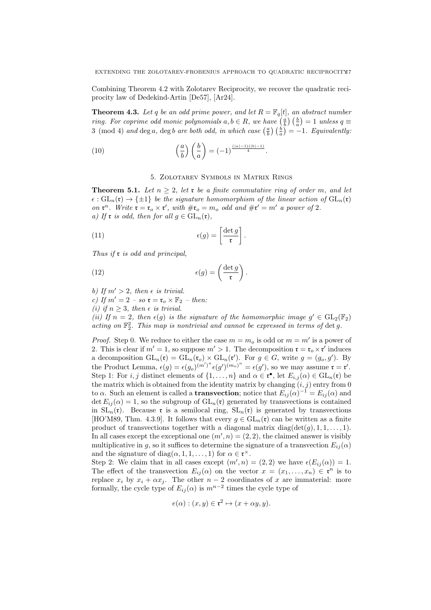Combining Theorem 4.2 with Zolotarev Reciprocity, we recover the quadratic reciprocity law of Dedekind-Artin [De57], [Ar24].

**Theorem 4.3.** Let q be an odd prime power, and let  $R = \mathbb{F}_q[t]$ , an abstract number *ring. For coprime odd monic polynomials*  $a, b \in R$ *, we have*  $\left(\frac{a}{b}\right)\left(\frac{b}{a}\right) = 1$  *unless*  $q \equiv$ 3 (mod 4) *and* deg *a*, deg *b are both odd, in which case*  $\left(\frac{a}{b}\right)\left(\frac{b}{a}\right) = -1$ *. Equivalently:* 

(10) 
$$
\left(\frac{a}{b}\right)\left(\frac{b}{a}\right) = (-1)^{\frac{(|a|-1)(|b|-1)}{4}}.
$$

## 5. Zolotarev Symbols in Matrix Rings

**Theorem 5.1.** Let  $n \geq 2$ , let **r** be a finite commutative ring of order m, and let  $\epsilon$  :  $GL_n(\mathfrak{r}) \to {\pm 1}$  *be the signature homomorphism of the linear action of*  $GL_n(\mathfrak{r})$ *on*  $\mathbf{r}^n$ *. Write*  $\mathbf{r} = \mathbf{r}_o \times \mathbf{r}'$ *, with*  $\#\mathbf{r}_o = m_o$  *odd and*  $\#\mathbf{r}' = m'$  *a power of* 2*. a)* If **r** *is odd, then for all*  $g \in GL_n(\mathfrak{r})$ *,* 

(11) 
$$
\epsilon(g) = \left[\frac{\det g}{\mathfrak{r}}\right].
$$

*Thus if* r *is odd and principal,*

(12) 
$$
\epsilon(g) = \left(\frac{\det g}{\mathfrak{r}}\right).
$$

- *b)* If  $m' > 2$ , then  $\epsilon$  *is trivial.*
- *c)* If  $m' = 2 so$   $\mathfrak{r} = \mathfrak{r}_o \times \mathbb{F}_2 then$ :

*(i)* if  $n \geq 3$ *, then*  $\epsilon$  *is trivial.* 

*(ii)* If  $n = 2$ , then  $\epsilon(g)$  is the signature of the homomorphic image  $g' \in GL_2(\mathbb{F}_2)$ acting on  $\mathbb{F}_2^2$ . This map is nontrivial and cannot be expressed in terms of det g.

*Proof.* Step 0. We reduce to either the case  $m = m<sub>o</sub>$  is odd or  $m = m'$  is a power of 2. This is clear if  $m' = 1$ , so suppose  $m' > 1$ . The decomposition  $\mathfrak{r} = \mathfrak{r}_o \times \mathfrak{r}'$  induces a decomposition  $GL_n(\mathfrak{r}) = GL_n(\mathfrak{r}_o) \times GL_n(\mathfrak{r}')$ . For  $g \in G$ , write  $g = (g_o, g')$ . By the Product Lemma,  $\epsilon(g) = \epsilon(g_o)^{(m')^n} \epsilon(g')^{(m_o)^n} = \epsilon(g')$ , so we may assume  $\mathfrak{r} = \mathfrak{r}'$ . Step 1: For *i, j* distinct elements of  $\{1, \ldots, n\}$  and  $\alpha \in \mathfrak{r}^{\bullet}$ , let  $E_{i,j}(\alpha) \in GL_n(\mathfrak{r})$  be the matrix which is obtained from the identity matrix by changing  $(i, j)$  entry from 0 to *α*. Such an element is called a **transvection**; notice that  $E_{ij}(\alpha)^{-1} = E_{ij}(\alpha)$  and det  $E_{ij}(\alpha) = 1$ , so the subgroup of  $GL_n(\mathfrak{r})$  generated by transvections is contained in  $SL_n(\mathfrak{r})$ . Because  $\mathfrak{r}$  is a semilocal ring,  $SL_n(\mathfrak{r})$  is generated by transvections [HO'M89, Thm. 4.3.9]. It follows that every  $g \in GL_n(\mathfrak{r})$  can be written as a finite product of transvections together with a diagonal matrix diag( $det(g)$ , 1, 1, ..., 1). In all cases except the exceptional one  $(m', n) = (2, 2)$ , the claimed answer is visibly multiplicative in *g*, so it suffices to determine the signature of a transvection  $E_{ij}(\alpha)$ and the signature of diag $(\alpha, 1, 1, \ldots, 1)$  for  $\alpha \in \mathfrak{r}^{\times}$ .

Step 2: We claim that in all cases except  $(m', n) = (2, 2)$  we have  $\epsilon(E_{ij}(\alpha)) = 1$ . The effect of the transvection  $E_{ij}(\alpha)$  on the vector  $x = (x_1, \ldots, x_n) \in \mathfrak{r}^n$  is to replace  $x_i$  by  $x_i + \alpha x_j$ . The other  $n-2$  coordinates of  $x$  are immaterial: more formally, the cycle type of  $E_{ij}(\alpha)$  is  $m^{n-2}$  times the cycle type of

$$
e(\alpha) : (x, y) \in \mathfrak{r}^2 \mapsto (x + \alpha y, y).
$$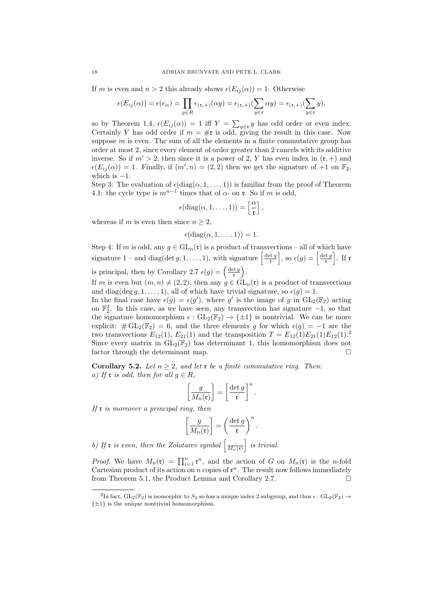If *m* is even and  $n > 2$  this already shows  $\epsilon(E_{ij}(\alpha)) = 1$ . Otherwise

$$
\epsilon(E_{ij}(\alpha))=\epsilon(e_\alpha)=\prod_{y\in R}\epsilon_{(\mathfrak{r},+)}(\alpha y)=\epsilon_{(\mathfrak{r},+)}(\sum_{y\in \mathfrak{r}}\alpha y)=\epsilon_{(\mathfrak{r},+)}(\sum_{y\in \mathfrak{r}}y),
$$

so by Theorem 1.4,  $\epsilon(E_{ij}(\alpha)) = 1$  iff  $Y = \sum_{y \in \mathfrak{r}} y$  has odd order or even index. Certainly *Y* has odd order if  $m = #r$  is odd, giving the result in this case. Now suppose  $m$  is even. The sum of all the elements in a finite commutative group has order at most 2, since every element of order greater than 2 cancels with its additive inverse. So if  $m' > 2$ , then since it is a power of 2, Y has even index in  $(\mathfrak{r}, +)$  and  $\epsilon(E_{ij}(\alpha)) = 1$ . Finally, if  $(m', n) = (2, 2)$  then we get the signature of  $+1$  on  $\mathbb{F}_2$ , which is *−*1.

Step 3: The evaluation of  $\epsilon(\text{diag}(\alpha,1,\ldots,1))$  is familiar from the proof of Theorem 4.1: the cycle type is  $m^{n-1}$  times that of  $\alpha$ *·* on **r**. So if *m* is odd,

$$
\epsilon(\mathrm{diag}(\alpha,1,\ldots,1))=\left[\frac{\alpha}{\mathfrak{r}}\right],
$$

whereas if *m* is even then since  $n \geq 2$ ,

$$
\epsilon(\text{diag}(\alpha, 1, \ldots, 1)) = 1.
$$

Step 4: If *m* is odd, any  $q \in GL_n(\mathfrak{r})$  is a product of transvections – all of which have signature  $1$  – and diag(det  $g, 1, \ldots, 1$ ), with signature  $\frac{\det g}{\det g}$ r  $\int$ , so  $\epsilon(g) = \left[\frac{\det g}{g}\right]$ r ] . If r is principal, then by Corollary 2.7  $\epsilon(g) = \frac{\det g}{\epsilon}$ r ) .

If *m* is even but  $(m, n) \neq (2, 2)$ , then any  $g \in \widetilde{GL}_n(\mathfrak{r})$  is a product of transvections and diag( $\deg g, 1, \ldots, 1$ ), all of which have trivial signature, so  $\epsilon(g) = 1$ .

In the final case have  $\epsilon(g) = \epsilon(g')$ , where g' is the image of g in  $GL_2(\mathbb{F}_2)$  acting on F 2 2 . In this case, as we have seen, any transvection has signature *−*1, so that the signature homomorphism  $\epsilon$  :  $GL_2(\mathbb{F}_2) \to \{\pm 1\}$  is nontrivial. We can be more explicit:  $\#\mathrm{GL}_2(\mathbb{F}_2) = 6$ , and the three elements *g* for which  $\epsilon(g) = -1$  are the two transvections  $E_{12}(1)$ ,  $E_{21}(1)$  and the transposition  $T = E_{12}(1)E_{21}(1)E_{12}(1)^{2}$ Since every matrix in  $GL_2(\mathbb{F}_2)$  has determinant 1, this homomorphism does not factor through the determinant map.

**Corollary 5.2.** *Let*  $n > 2$ *, and let* **r** *be a finite commutative ring. Then: a)* If **r** *is odd, then for all*  $q \in R$ *,* 

$$
\left[\frac{g}{M_n(\mathfrak{r})}\right] = \left[\frac{\det g}{\mathfrak{r}}\right]^n.
$$

*If* r *is moreover a principal ring, then*

$$
\left[\frac{g}{M_n(\mathfrak{r})}\right] = \left(\frac{\det g}{\mathfrak{r}}\right)^n.
$$

b) If **r** is even, then the Zolotarev symbol  $\left[\frac{1}{M_n(\mathfrak{r})}\right]$ ] *is trivial.*

*Proof.* We have  $M_n(\mathfrak{r}) = \prod_{i=1}^n \mathfrak{r}^n$ , and the action of *G* on  $M_n(\mathfrak{r})$  is the *n*-fold Cartesian product of its action on  $n$  copies of  $\mathfrak{r}^n$ . The result now follows immediately from Theorem 5.1, the Product Lemma and Corollary 2.7.

 $^{2}\text{In fact, } \text{GL}_{2}(\mathbb{F}_{2})$  is isomorphic to  $S_{3}$  so has a unique index 2 subgroup, and thus  $\epsilon : \text{GL}_{2}(\mathbb{F}_{2}) \rightarrow$ *{±*1*}* is the unique nontrivial homomorphism.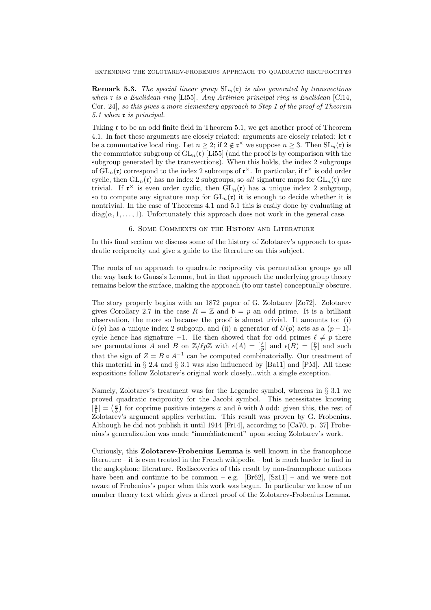EXTENDING THE ZOLOTAREV-FROBENIUS APPROACH TO QUADRATIC RECIPROCITY19

**Remark 5.3.** *The special linear group*  $SL_n(\mathfrak{r})$  *is also generated by transvections when* r *is a Euclidean ring* [Li55]*. Any Artinian principal ring is Euclidean* [Cl14, Cor. 24]*, so this gives a more elementary approach to Step 1 of the proof of Theorem 5.1 when* r *is principal.*

Taking  $\tau$  to be an odd finite field in Theorem 5.1, we get another proof of Theorem 4.1. In fact these arguments are closely related: arguments are closely related: let r be a commutative local ring. Let  $n \geq 2$ ; if  $2 \notin \mathfrak{r}^\times$  we suppose  $n \geq 3$ . Then  $SL_n(\mathfrak{r})$  is the commutator subgroup of  $GL_n(r)$  [Li55] (and the proof is by comparison with the subgroup generated by the transvections). When this holds, the index 2 subgroups of  $GL_n(\mathfrak{r})$  correspond to the index 2 subroups of  $\mathfrak{r}^\times$ . In particular, if  $\mathfrak{r}^\times$  is odd order cyclic, then  $GL_n(\mathfrak{r})$  has no index 2 subgroups, so *all* signature maps for  $GL_n(\mathfrak{r})$  are trivial. If  $\mathfrak{r}^{\times}$  is even order cyclic, then  $GL_n(\mathfrak{r})$  has a unique index 2 subgroup, so to compute any signature map for  $GL_n(\mathfrak{r})$  it is enough to decide whether it is nontrivial. In the case of Theorems 4.1 and 5.1 this is easily done by evaluating at  $diag(\alpha, 1, \ldots, 1)$ . Unfortunately this approach does not work in the general case.

6. Some Comments on the History and Literature

In this final section we discuss some of the history of Zolotarev's approach to quadratic reciprocity and give a guide to the literature on this subject.

The roots of an approach to quadratic reciprocity via permutation groups go all the way back to Gauss's Lemma, but in that approach the underlying group theory remains below the surface, making the approach (to our taste) conceptually obscure.

The story properly begins with an 1872 paper of G. Zolotarev [Zo72]. Zolotarev gives Corollary 2.7 in the case  $R = \mathbb{Z}$  and  $\mathfrak{b} = p$  an odd prime. It is a brilliant observation, the more so because the proof is almost trivial. It amounts to: (i)  $U(p)$  has a unique index 2 subgoup, and (ii) a generator of  $U(p)$  acts as a  $(p-1)$ cycle hence has signature  $-1$ . He then showed that for odd primes  $\ell \neq p$  there are permutations *A* and *B* on  $\mathbb{Z}/\ell p\mathbb{Z}$  with  $\epsilon(A) = \begin{bmatrix} \ell \\ p \end{bmatrix}$  and  $\epsilon(B) = \begin{bmatrix} p \\ \ell \end{bmatrix}$  and such that the sign of  $Z = B \circ A^{-1}$  can be computed combinatorially. Our treatment of this material in *§* 2.4 and *§* 3.1 was also influenced by [Ba11] and [PM]. All these expositions follow Zolotarev's original work closely...with a single exception.

Namely, Zolotarev's treatment was for the Legendre symbol, whereas in *§* 3.1 we proved quadratic reciprocity for the Jacobi symbol. This necessitates knowing  $\left[\frac{a}{b}\right] = \left(\frac{a}{b}\right)$  for coprime positive integers *a* and *b* with *b* odd: given this, the rest of Zolotarev's argument applies verbatim. This result was proven by G. Frobenius. Although he did not publish it until 1914 [Fr14], according to [Ca70, p. 37] Frobenius's generalization was made "immédiatement" upon seeing Zolotarev's work.

Curiously, this **Zolotarev-Frobenius Lemma** is well known in the francophone literature – it is even treated in the French wikipedia – but is much harder to find in the anglophone literature. Rediscoveries of this result by non-francophone authors have been and continue to be common – e.g.  $[\text{Br62}]$ ,  $[\text{Sz11}]$  – and we were not aware of Frobenius's paper when this work was begun. In particular we know of no number theory text which gives a direct proof of the Zolotarev-Frobenius Lemma.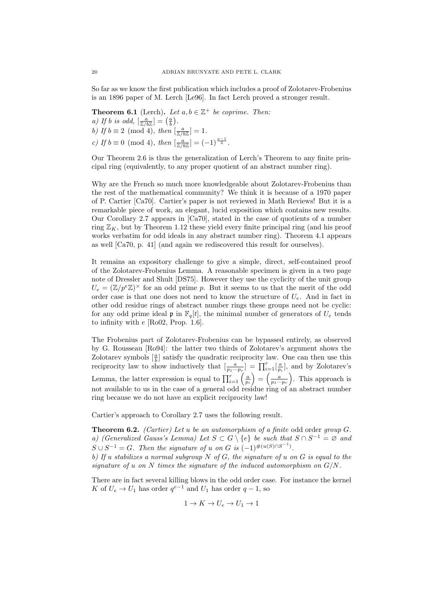So far as we know the first publication which includes a proof of Zolotarev-Frobenius is an 1896 paper of M. Lerch [Le96]. In fact Lerch proved a stronger result.

**Theorem 6.1** (Lerch). Let  $a, b \in \mathbb{Z}^+$  be coprime. Then: *a)* If *b is odd,*  $\left[\frac{a}{\mathbb{Z}/b\mathbb{Z}}\right] = \left(\frac{a}{b}\right)$ . *b)* If  $b \equiv 2 \pmod{4}$ , then  $\left[\frac{a}{\mathbb{Z}/b\mathbb{Z}}\right] = 1$ . *c) If*  $b \equiv 0 \pmod{4}$ , *then*  $\left[\frac{a}{\mathbb{Z}/b\mathbb{Z}}\right] = (-1)^{\frac{a-1}{2}}$ .

Our Theorem 2.6 is thus the generalization of Lerch's Theorem to any finite principal ring (equivalently, to any proper quotient of an abstract number ring).

Why are the French so much more knowledgeable about Zolotarev-Frobenius than the rest of the mathematical community? We think it is because of a 1970 paper of P. Cartier [Ca70]. Cartier's paper is not reviewed in Math Reviews! But it is a remarkable piece of work, an elegant, lucid exposition which contains new results. Our Corollary 2.7 appears in [Ca70], stated in the case of quotients of a number ring  $\mathbb{Z}_K$ , but by Theorem 1.12 these yield every finite principal ring (and his proof works verbatim for odd ideals in any abstract number ring). Theorem 4.1 appears as well [Ca70, p. 41] (and again we rediscovered this result for ourselves).

It remains an expository challenge to give a simple, direct, self-contained proof of the Zolotarev-Frobenius Lemma. A reasonable specimen is given in a two page note of Dressler and Shult [DS75]. However they use the cyclicity of the unit group  $U_e = (\mathbb{Z}/p^e\mathbb{Z})^{\times}$  for an odd prime *p*. But it seems to us that the merit of the odd order case is that one does not need to know the structure of *Ue*. And in fact in other odd residue rings of abstract number rings these groups need not be cyclic: for any odd prime ideal  $\mathfrak{p}$  in  $\mathbb{F}_q[t]$ , the minimal number of generators of  $U_e$  tends to infinity with *e* [Ro02, Prop. 1.6].

The Frobenius part of Zolotarev-Frobenius can be bypassed entirely, as observed by G. Rousseau [Ro94]: the latter two thirds of Zolotarev's argument shows the Zolotarev symbols  $\left[\frac{a}{b}\right]$  satisfy the quadratic reciprocity law. One can then use this reciprocity law to show inductively that  $\left[\frac{a}{p_1 \cdots p_r}\right] = \prod_{i=1}^r \left[\frac{a}{p_i}\right]$ , and by Zolotarev's Lemma, the latter expression is equal to  $\prod_{i=1}^{r} \left( \frac{a}{p_i} \right)$  $\left(\frac{a}{p_1 \cdots p_r}\right)$ ) . This approach is not available to us in the case of a general odd residue ring of an abstract number ring because we do not have an explicit reciprocity law!

Cartier's approach to Corollary 2.7 uses the following result.

**Theorem 6.2.** *(Cartier) Let u be an automorphism of a finite* odd order *group G. a)* (Generalized Gauss's Lemma) Let  $S \subset G \setminus \{e\}$  be such that  $S \cap S^{-1} = \emptyset$  and  $S \cup S^{-1} = G$ *. Then the signature of u on G is*  $(-1)^{\#(u(S) \cap S^{-1})}$ *. b) If u stabilizes a normal subgroup N of G, the signature of u on G is equal to the signature of u on N times the signature of the induced automorphism on G/N.*

There are in fact several killing blows in the odd order case. For instance the kernel *K* of  $U_e \rightarrow U_1$  has order  $q^{e-1}$  and  $U_1$  has order  $q-1$ , so

$$
1 \to K \to U_e \to U_1 \to 1
$$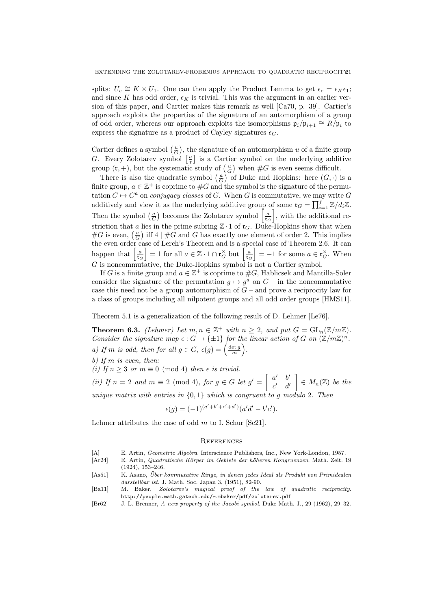splits:  $U_e \cong K \times U_1$ . One can then apply the Product Lemma to get  $\epsilon_e = \epsilon_K \epsilon_1$ ; and since K has odd order,  $\epsilon_K$  is trivial. This was the argument in an earlier version of this paper, and Cartier makes this remark as well [Ca70, p. 39]. Cartier's approach exploits the properties of the signature of an automorphism of a group of odd order, whereas our approach exploits the isomorphisms  $\mathfrak{p}_i/\mathfrak{p}_{i+1} \cong R/\mathfrak{p}_i$  to express the signature as a product of Cayley signatures  $\epsilon_G$ .

Cartier defines a symbol  $(\frac{u}{G})$ , the signature of an automorphism *u* of a finite group *G*. Every Zolotarev symbol  $\left[\frac{a}{r}\right]$  is a Cartier symbol on the underlying additive group  $(\mathfrak{r}, +)$ , but the systematic study of  $\left(\frac{u}{G}\right)$  when  $\#G$  is even seems difficult.

There is also the quadratic symbol  $\left(\frac{a}{G}\right)$  of Duke and Hopkins: here  $(G, \cdot)$  is a finite group,  $a \in \mathbb{Z}^+$  is coprime to  $\#G$  and the symbol is the signature of the permutation  $C \mapsto C^a$  on *conjugacy classes* of *G*. When *G* is commutative, we may write *G* additively and view it as the underlying additive group of some  $\mathfrak{r}_G = \prod_{i=1}^f \mathbb{Z}/d_i\mathbb{Z}$ . Then the symbol  $\left(\frac{a}{G}\right)$  becomes the Zolotarev symbol  $\left[\frac{a}{\mathfrak{r}_G}\right]$ ] , with the additional restriction that *a* lies in the prime subring  $\mathbb{Z} \cdot 1$  of  $\mathfrak{r}_G$ . Duke-Hopkins show that when  $#G$  is even,  $\left(\frac{a}{G}\right)$  iff 4 |  $#G$  and *G* has exactly one element of order 2. This implies the even order case of Lerch's Theorem and is a special case of Theorem 2.6. It can happen that  $\left[\frac{a}{\mathfrak{r}_G}\right]$  $\left[ = 1 \text{ for all } a \in \mathbb{Z} \cdot 1 \cap \mathfrak{r}_G^\times \text{ but } \left[ \frac{a}{\mathfrak{r}_G} \right]$  $\Big] = -1$  for some  $a \in \mathfrak{r}_G^{\times}$ . When *G* is noncommutative, the Duke-Hopkins symbol is not a Cartier symbol.

If *G* is a finite group and  $a \in \mathbb{Z}^+$  is coprime to  $\#G$ , Hablicsek and Mantilla-Soler consider the signature of the permutation  $g \mapsto g^a$  on  $G$  – in the noncommutative case this need not be a group automorphism of *G* – and prove a reciprocity law for a class of groups including all nilpotent groups and all odd order groups [HMS11].

Theorem 5.1 is a generalization of the following result of D. Lehmer [Le76].

**Theorem 6.3.** *(Lehmer) Let*  $m, n \in \mathbb{Z}^+$  *with*  $n \geq 2$ *, and put*  $G = GL_n(\mathbb{Z}/m\mathbb{Z})$ *. Consider the signature map*  $\epsilon$ :  $G \to \{\pm 1\}$  *for the linear action of*  $G$  *on*  $(\mathbb{Z}/m\mathbb{Z})^n$ *. a)* If *m is odd, then for all*  $g \in G$ *,*  $\epsilon(g) = \left(\frac{\det g}{m}\right)$ ) *.*

*b) If m is even, then:*

*(i)* If  $n \geq 3$  *or*  $m \equiv 0 \pmod{4}$  *then*  $\epsilon$  *is trivial.* 

*(ii)* If  $n = 2$  *and*  $m \equiv 2 \pmod{4}$ *, for*  $g \in G$  *let*  $g' =$  $\int a' \quad b'$ *c ′ d ′* ] *∈ Mn*(Z) *be the unique matrix with entries in {*0*,* 1*} which is congruent to g modulo* 2*. Then*

$$
\epsilon(g) = (-1)^{(a'+b'+c'+d')}(a'd' - b'c').
$$

Lehmer attributes the case of odd *m* to I. Schur [Sc21].

### **REFERENCES**

- [A] E. Artin, *Geometric Algebra*. Interscience Publishers, Inc., New York-London, 1957.
- [Ar24] E. Artin, *Quadratische K¨orper im Gebiete der h¨oheren Kongruenzen*. Math. Zeit. 19 (1924), 153–246.
- [As51] K. Asano, *Uber kommutative Ringe, in denen jedes Ideal als Produkt von Primidealen ¨ darstellbar ist*. J. Math. Soc. Japan 3, (1951), 82-90.
- [Ba11] M. Baker, *Zolotarev's magical proof of the law of quadratic reciprocity*. http://people.math.gatech.edu/*∼*mbaker/pdf/zolotarev.pdf
- [Br62] J. L. Brenner, *A new property of the Jacobi symbol*. Duke Math. J., 29 (1962), 29–32.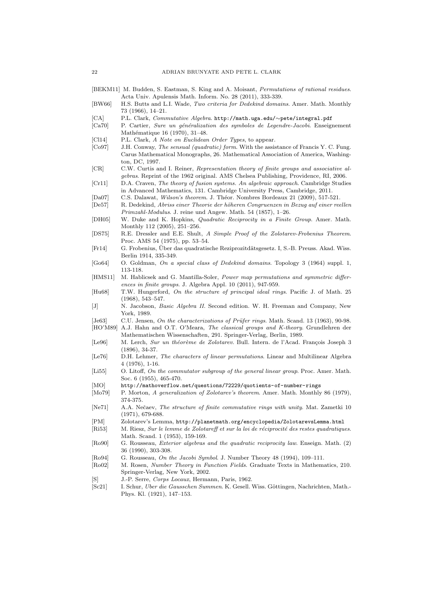- [BEKM11] M. Budden, S. Eastman, S. King and A. Moisant, *Permutations of rational residues*. Acta Univ. Apulensis Math. Inform. No. 28 (2011), 333-339.
- [BW66] H.S. Butts and L.I. Wade, *Two criteria for Dedekind domains*. Amer. Math. Monthly 73 (1966), 14–21.
- [CA] P.L. Clark, *Commutative Algebra*. http://math.uga.edu/*∼*pete/integral.pdf
- [Ca70] P. Cartier, *Sure un g´en´eralization des symboles de Legendre-Jacobi*. Enseignement Mathématique 16 (1970), 31-48.
- [Cl14] P.L. Clark, *A Note on Euclidean Order Types*, to appear.
- [Co97] J.H. Conway, *The sensual (quadratic) form*. With the assistance of Francis Y. C. Fung. Carus Mathematical Monographs, 26. Mathematical Association of America, Washington, DC, 1997.
- [CR] C.W. Curtis and I. Reiner, *Representation theory of finite groups and associative algebras*. Reprint of the 1962 original. AMS Chelsea Publishing, Providence, RI, 2006.
- [Cr11] D.A. Craven, *The theory of fusion systems. An algebraic approach*. Cambridge Studies in Advanced Mathematics, 131. Cambridge University Press, Cambridge, 2011.
- [Da07] C.S. Dalawat, *Wilson's theorem*. J. Th´eor. Nombres Bordeaux 21 (2009), 517-521.
- [De57] R. Dedekind, *Abriss einer Theorie der h¨oheren Congruenzen in Bezug auf einer reellen Primzahl-Modulus*. J. reine und Angew. Math. 54 (1857), 1–26.
- [DH05] W. Duke and K. Hopkins, *Quadratic Reciprocity in a Finite Group*. Amer. Math. Monthly 112 (2005), 251–256.
- [DS75] R.E. Dressler and E.E. Shult, *A Simple Proof of the Zolotarev-Frobenius Theorem*. Proc. AMS 54 (1975), pp. 53–54.
- [Fr14] G. Frobenius, Uber das quadratische Reziprozitd¨atsgesetz. I, S.-B. Preuss. Akad. Wiss. ¨ Berlin 1914, 335-349.
- [Go64] O. Goldman, *On a special class of Dedekind domains*. Topology 3 (1964) suppl. 1, 113-118.
- [HMS11] M. Hablicsek and G. Mantilla-Soler, *Power map permutations and symmetric differences in finite groups*. J. Algebra Appl. 10 (2011), 947-959.
- [Hu68] T.W. Hungerford, *On the structure of principal ideal rings*. Pacific J. of Math. 25 (1968), 543–547.
- [J] N. Jacobson, *Basic Algebra II*. Second edition. W. H. Freeman and Company, New York, 1989.

[Je63] C.U. Jensen, *On the characterizations of Prüfer rings*. Math. Scand. 13 (1963), 90-98. [HO'M89] A.J. Hahn and O.T. O'Meara, *The classical groups and K-theory*. Grundlehren der

- Mathematischen Wissenschaften, 291. Springer-Verlag, Berlin, 1989.
- [Le96] M. Lerch, *Sur un théorème de Zolotarev*. Bull. Intern. de l'Acad. François Joseph 3 (1896), 34-37.
- [Le76] D.H. Lehmer, *The characters of linear permutations*. Linear and Multilinear Algebra 4 (1976), 1-16.
- [Li55] O. Litoff, *On the commutator subgroup of the general linear group*. Proc. Amer. Math. Soc. 6 (1955), 465-470.
- [MO] http://mathoverflow.net/questions/72229/quotients-of-number-rings
- [Mo79] P. Morton, *A generalization of Zolotarev's theorem*. Amer. Math. Monthly 86 (1979), 374-375.
- [Ne71] A.A. Neˇcaev, *The structure of finite commutative rings with unity*. Mat. Zametki 10 (1971), 679-688.
- [PM] Zolotarev's Lemma, http://planetmath.org/encyclopedia/ZolotarevsLemma.html
- [Ri53] M. Riesz, *Sur le lemme de Zolotareff et sur la loi de réciprocité des restes quadratiques*. Math. Scand. 1 (1953), 159-169.
- [Ro90] G. Rousseau, *Exterior algebras and the quadratic reciprocity law*. Enseign. Math. (2) 36 (1990), 303-308.
- [Ro94] G. Rousseau, *On the Jacobi Symbol*. J. Number Theory 48 (1994), 109–111.
- [Ro02] M. Rosen, *Number Theory in Function Fields*. Graduate Texts in Mathematics, 210. Springer-Verlag, New York, 2002.
- [S] J.-P. Serre, *Corps Locaux*, Hermann, Paris, 1962.
- [Sc21] I. Schur, *Uber die Gausschen Summen*. K. Gesell. Wiss. Göttingen, Nachrichten, Math.-Phys. Kl. (1921), 147–153.